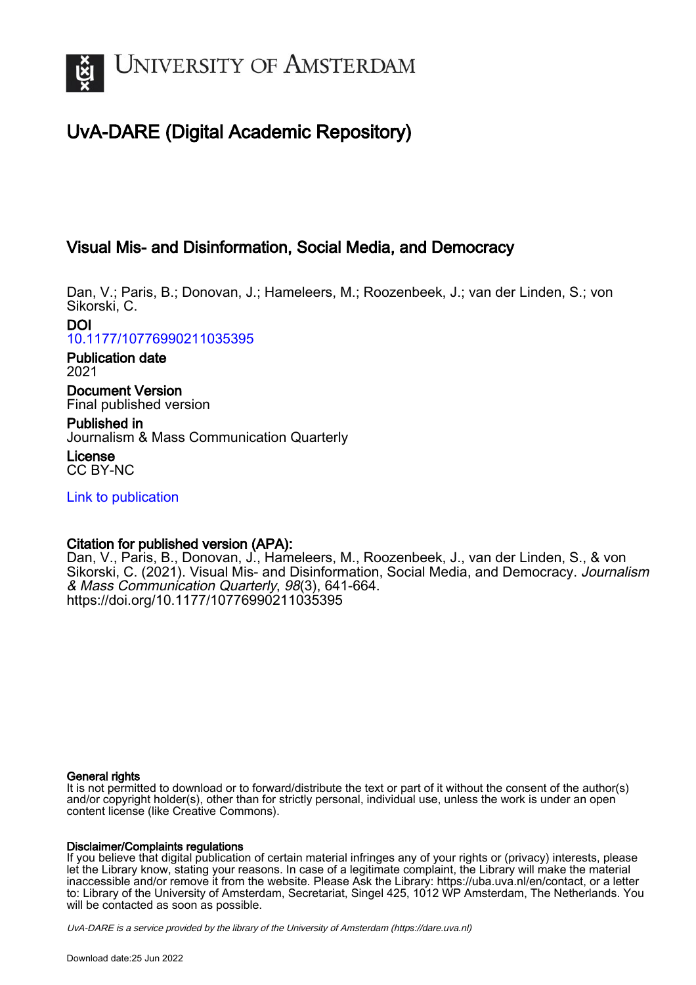

# UvA-DARE (Digital Academic Repository)

# Visual Mis- and Disinformation, Social Media, and Democracy

Dan, V.; Paris, B.; Donovan, J.; Hameleers, M.; Roozenbeek, J.; van der Linden, S.; von Sikorski, C.

DOI [10.1177/10776990211035395](https://doi.org/10.1177/10776990211035395)

Publication date 2021

Document Version Final published version

Published in Journalism & Mass Communication Quarterly

License CC BY-NC

[Link to publication](https://dare.uva.nl/personal/pure/en/publications/visual-mis-and-disinformation-social-media-and-democracy(59b4b752-858a-4c9f-8300-4db186e63e7a).html)

## Citation for published version (APA):

Dan, V., Paris, B., Donovan, J., Hameleers, M., Roozenbeek, J., van der Linden, S., & von Sikorski, C. (2021). Visual Mis- and Disinformation, Social Media, and Democracy. Journalism & Mass Communication Quarterly, 98(3), 641-664. <https://doi.org/10.1177/10776990211035395>

#### General rights

It is not permitted to download or to forward/distribute the text or part of it without the consent of the author(s) and/or copyright holder(s), other than for strictly personal, individual use, unless the work is under an open content license (like Creative Commons).

#### Disclaimer/Complaints regulations

If you believe that digital publication of certain material infringes any of your rights or (privacy) interests, please let the Library know, stating your reasons. In case of a legitimate complaint, the Library will make the material inaccessible and/or remove it from the website. Please Ask the Library: https://uba.uva.nl/en/contact, or a letter to: Library of the University of Amsterdam, Secretariat, Singel 425, 1012 WP Amsterdam, The Netherlands. You will be contacted as soon as possible.

UvA-DARE is a service provided by the library of the University of Amsterdam (http*s*://dare.uva.nl)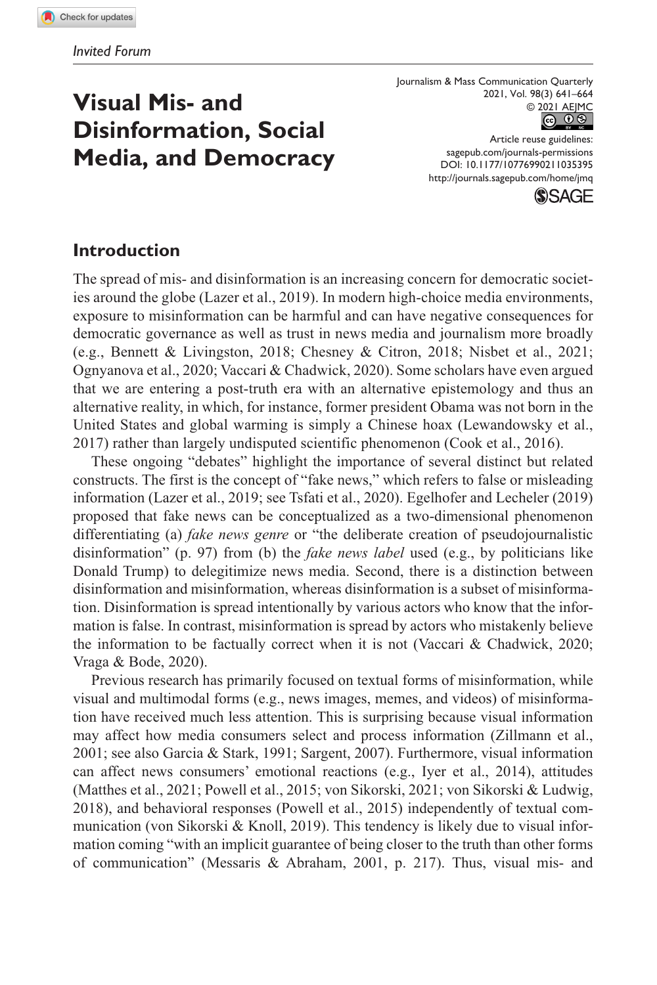# **Visual Mis- and Disinformation, Social Media, and Democracy**

Journalism & Mass Communication Quarterly 2021, Vol. 98(3) 641–664 © 2021 AEJMC **@ 0 \$** 

> DOI: 10.1177/10776990211035395 Article reuse guidelines: [sagepub.com/journals-permissions](https://us.sagepub.com/en-us/journals-permissions) <http://journals.sagepub.com/home/jmq>



#### **Introduction**

The spread of mis- and disinformation is an increasing concern for democratic societies around the globe (Lazer et al., 2019). In modern high-choice media environments, exposure to misinformation can be harmful and can have negative consequences for democratic governance as well as trust in news media and journalism more broadly (e.g., Bennett & Livingston, 2018; Chesney & Citron, 2018; Nisbet et al., 2021; Ognyanova et al., 2020; Vaccari & Chadwick, 2020). Some scholars have even argued that we are entering a post-truth era with an alternative epistemology and thus an alternative reality, in which, for instance, former president Obama was not born in the United States and global warming is simply a Chinese hoax (Lewandowsky et al., 2017) rather than largely undisputed scientific phenomenon (Cook et al., 2016).

These ongoing "debates" highlight the importance of several distinct but related constructs. The first is the concept of "fake news," which refers to false or misleading information (Lazer et al., 2019; see Tsfati et al., 2020). Egelhofer and Lecheler (2019) proposed that fake news can be conceptualized as a two-dimensional phenomenon differentiating (a) *fake news genre* or "the deliberate creation of pseudojournalistic disinformation" (p. 97) from (b) the *fake news label* used (e.g., by politicians like Donald Trump) to delegitimize news media. Second, there is a distinction between disinformation and misinformation, whereas disinformation is a subset of misinformation. Disinformation is spread intentionally by various actors who know that the information is false. In contrast, misinformation is spread by actors who mistakenly believe the information to be factually correct when it is not (Vaccari & Chadwick, 2020; Vraga & Bode, 2020).

Previous research has primarily focused on textual forms of misinformation, while visual and multimodal forms (e.g., news images, memes, and videos) of misinformation have received much less attention. This is surprising because visual information may affect how media consumers select and process information (Zillmann et al., 2001; see also Garcia & Stark, 1991; Sargent, 2007). Furthermore, visual information can affect news consumers' emotional reactions (e.g., Iyer et al., 2014), attitudes (Matthes et al., 2021; Powell et al., 2015; von Sikorski, 2021; von Sikorski & Ludwig, 2018), and behavioral responses (Powell et al., 2015) independently of textual communication (von Sikorski & Knoll, 2019). This tendency is likely due to visual information coming "with an implicit guarantee of being closer to the truth than other forms of communication" (Messaris & Abraham, 2001, p. 217). Thus, visual mis- and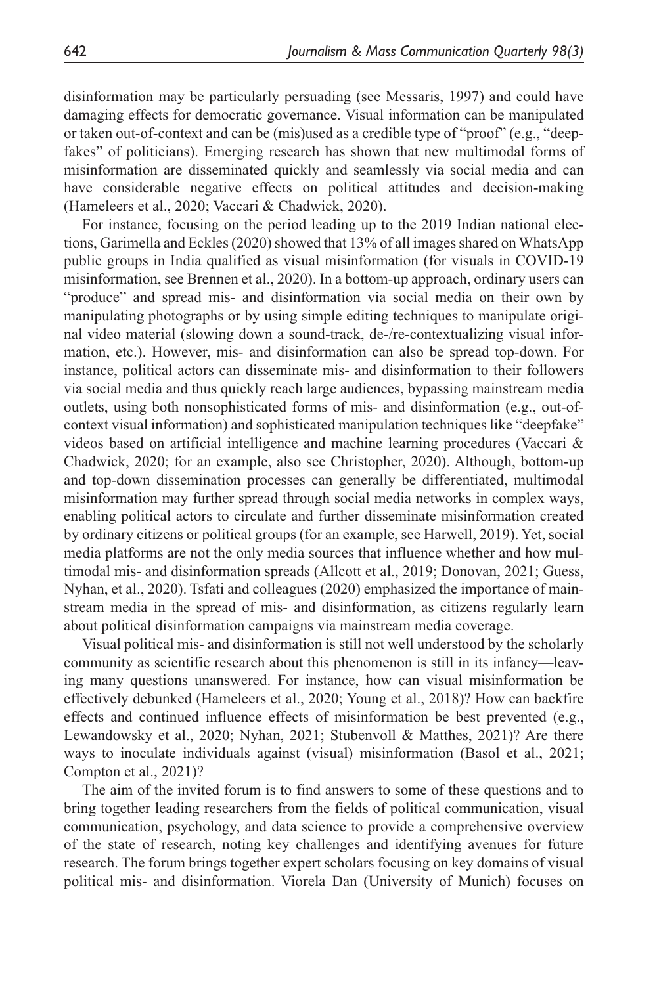disinformation may be particularly persuading (see Messaris, 1997) and could have damaging effects for democratic governance. Visual information can be manipulated or taken out-of-context and can be (mis)used as a credible type of "proof" (e.g., "deepfakes" of politicians). Emerging research has shown that new multimodal forms of misinformation are disseminated quickly and seamlessly via social media and can have considerable negative effects on political attitudes and decision-making (Hameleers et al., 2020; Vaccari & Chadwick, 2020).

For instance, focusing on the period leading up to the 2019 Indian national elections, Garimella and Eckles (2020) showed that 13% of all images shared on WhatsApp public groups in India qualified as visual misinformation (for visuals in COVID-19 misinformation, see Brennen et al., 2020). In a bottom-up approach, ordinary users can "produce" and spread mis- and disinformation via social media on their own by manipulating photographs or by using simple editing techniques to manipulate original video material (slowing down a sound-track, de-/re-contextualizing visual information, etc.). However, mis- and disinformation can also be spread top-down. For instance, political actors can disseminate mis- and disinformation to their followers via social media and thus quickly reach large audiences, bypassing mainstream media outlets, using both nonsophisticated forms of mis- and disinformation (e.g., out-ofcontext visual information) and sophisticated manipulation techniques like "deepfake" videos based on artificial intelligence and machine learning procedures (Vaccari & Chadwick, 2020; for an example, also see Christopher, 2020). Although, bottom-up and top-down dissemination processes can generally be differentiated, multimodal misinformation may further spread through social media networks in complex ways, enabling political actors to circulate and further disseminate misinformation created by ordinary citizens or political groups (for an example, see Harwell, 2019). Yet, social media platforms are not the only media sources that influence whether and how multimodal mis- and disinformation spreads (Allcott et al., 2019; Donovan, 2021; Guess, Nyhan, et al., 2020). Tsfati and colleagues (2020) emphasized the importance of mainstream media in the spread of mis- and disinformation, as citizens regularly learn about political disinformation campaigns via mainstream media coverage.

Visual political mis- and disinformation is still not well understood by the scholarly community as scientific research about this phenomenon is still in its infancy—leaving many questions unanswered. For instance, how can visual misinformation be effectively debunked (Hameleers et al., 2020; Young et al., 2018)? How can backfire effects and continued influence effects of misinformation be best prevented (e.g., Lewandowsky et al., 2020; Nyhan, 2021; Stubenvoll & Matthes, 2021)? Are there ways to inoculate individuals against (visual) misinformation (Basol et al., 2021; Compton et al., 2021)?

The aim of the invited forum is to find answers to some of these questions and to bring together leading researchers from the fields of political communication, visual communication, psychology, and data science to provide a comprehensive overview of the state of research, noting key challenges and identifying avenues for future research. The forum brings together expert scholars focusing on key domains of visual political mis- and disinformation. Viorela Dan (University of Munich) focuses on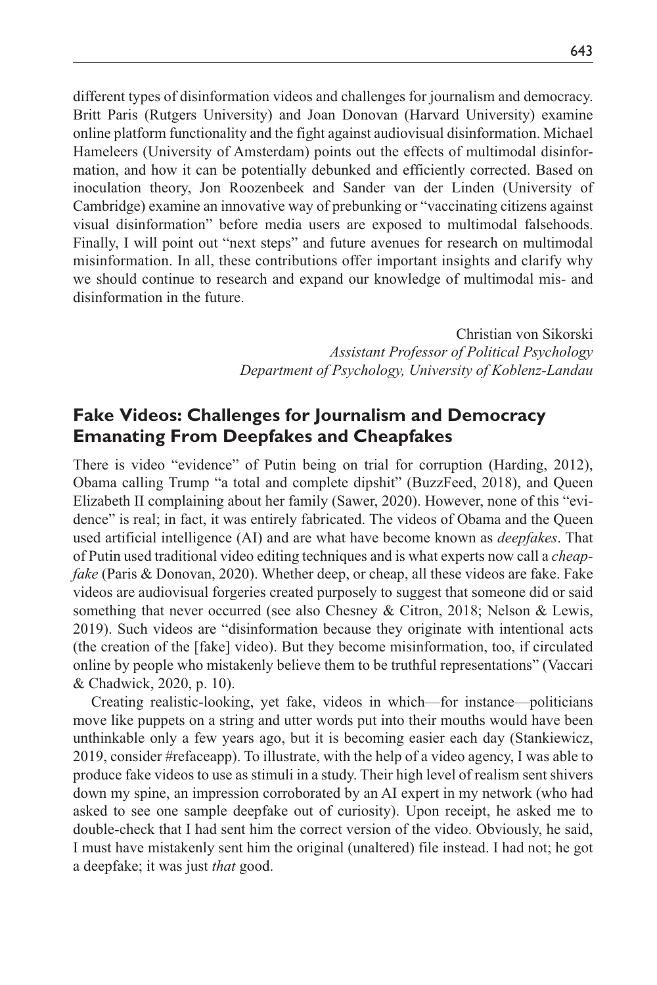different types of disinformation videos and challenges for journalism and democracy. Britt Paris (Rutgers University) and Joan Donovan (Harvard University) examine online platform functionality and the fight against audiovisual disinformation. Michael Hameleers (University of Amsterdam) points out the effects of multimodal disinformation, and how it can be potentially debunked and efficiently corrected. Based on inoculation theory, Jon Roozenbeek and Sander van der Linden (University of Cambridge) examine an innovative way of prebunking or "vaccinating citizens against visual disinformation" before media users are exposed to multimodal falsehoods. Finally, I will point out "next steps" and future avenues for research on multimodal misinformation. In all, these contributions offer important insights and clarify why we should continue to research and expand our knowledge of multimodal mis- and disinformation in the future.

> Christian von Sikorski *Assistant Professor of Political Psychology Department of Psychology, University of Koblenz-Landau*

### **Fake Videos: Challenges for Journalism and Democracy Emanating From Deepfakes and Cheapfakes**

There is video "evidence" of Putin being on trial for corruption (Harding, 2012), Obama calling Trump "a total and complete dipshit" (BuzzFeed, 2018), and Queen Elizabeth II complaining about her family (Sawer, 2020). However, none of this "evidence" is real; in fact, it was entirely fabricated. The videos of Obama and the Queen used artificial intelligence (AI) and are what have become known as *deepfakes*. That of Putin used traditional video editing techniques and is what experts now call a *cheapfake* (Paris & Donovan, 2020). Whether deep, or cheap, all these videos are fake. Fake videos are audiovisual forgeries created purposely to suggest that someone did or said something that never occurred (see also Chesney & Citron, 2018; Nelson & Lewis, 2019). Such videos are "disinformation because they originate with intentional acts (the creation of the [fake] video). But they become misinformation, too, if circulated online by people who mistakenly believe them to be truthful representations" (Vaccari & Chadwick, 2020, p. 10).

Creating realistic-looking, yet fake, videos in which—for instance—politicians move like puppets on a string and utter words put into their mouths would have been unthinkable only a few years ago, but it is becoming easier each day (Stankiewicz, 2019, consider #refaceapp). To illustrate, with the help of a video agency, I was able to produce fake videos to use as stimuli in a study. Their high level of realism sent shivers down my spine, an impression corroborated by an AI expert in my network (who had asked to see one sample deepfake out of curiosity). Upon receipt, he asked me to double-check that I had sent him the correct version of the video. Obviously, he said, I must have mistakenly sent him the original (unaltered) file instead. I had not; he got a deepfake; it was just *that* good.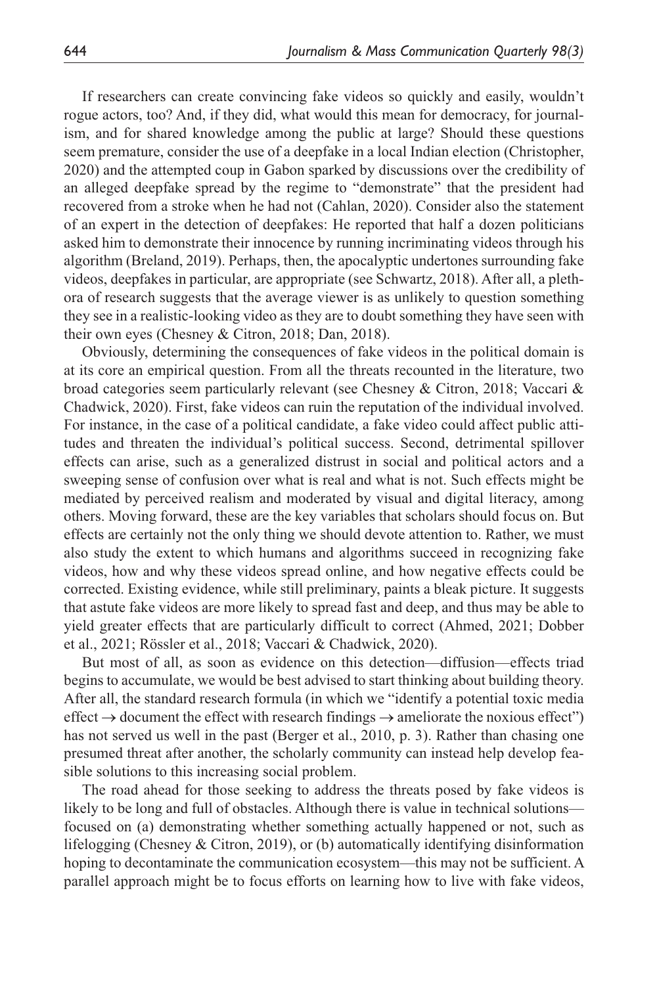If researchers can create convincing fake videos so quickly and easily, wouldn't rogue actors, too? And, if they did, what would this mean for democracy, for journalism, and for shared knowledge among the public at large? Should these questions seem premature, consider the use of a deepfake in a local Indian election (Christopher, 2020) and the attempted coup in Gabon sparked by discussions over the credibility of an alleged deepfake spread by the regime to "demonstrate" that the president had recovered from a stroke when he had not (Cahlan, 2020). Consider also the statement of an expert in the detection of deepfakes: He reported that half a dozen politicians asked him to demonstrate their innocence by running incriminating videos through his algorithm (Breland, 2019). Perhaps, then, the apocalyptic undertones surrounding fake videos, deepfakes in particular, are appropriate (see Schwartz, 2018). After all, a plethora of research suggests that the average viewer is as unlikely to question something they see in a realistic-looking video as they are to doubt something they have seen with their own eyes (Chesney & Citron, 2018; Dan, 2018).

Obviously, determining the consequences of fake videos in the political domain is at its core an empirical question. From all the threats recounted in the literature, two broad categories seem particularly relevant (see Chesney & Citron, 2018; Vaccari & Chadwick, 2020). First, fake videos can ruin the reputation of the individual involved. For instance, in the case of a political candidate, a fake video could affect public attitudes and threaten the individual's political success. Second, detrimental spillover effects can arise, such as a generalized distrust in social and political actors and a sweeping sense of confusion over what is real and what is not. Such effects might be mediated by perceived realism and moderated by visual and digital literacy, among others. Moving forward, these are the key variables that scholars should focus on. But effects are certainly not the only thing we should devote attention to. Rather, we must also study the extent to which humans and algorithms succeed in recognizing fake videos, how and why these videos spread online, and how negative effects could be corrected. Existing evidence, while still preliminary, paints a bleak picture. It suggests that astute fake videos are more likely to spread fast and deep, and thus may be able to yield greater effects that are particularly difficult to correct (Ahmed, 2021; Dobber et al., 2021; Rössler et al., 2018; Vaccari & Chadwick, 2020).

But most of all, as soon as evidence on this detection—diffusion—effects triad begins to accumulate, we would be best advised to start thinking about building theory. After all, the standard research formula (in which we "identify a potential toxic media effect  $\rightarrow$  document the effect with research findings  $\rightarrow$  ameliorate the noxious effect") has not served us well in the past (Berger et al., 2010, p. 3). Rather than chasing one presumed threat after another, the scholarly community can instead help develop feasible solutions to this increasing social problem.

The road ahead for those seeking to address the threats posed by fake videos is likely to be long and full of obstacles. Although there is value in technical solutions focused on (a) demonstrating whether something actually happened or not, such as lifelogging (Chesney & Citron, 2019), or (b) automatically identifying disinformation hoping to decontaminate the communication ecosystem—this may not be sufficient. A parallel approach might be to focus efforts on learning how to live with fake videos,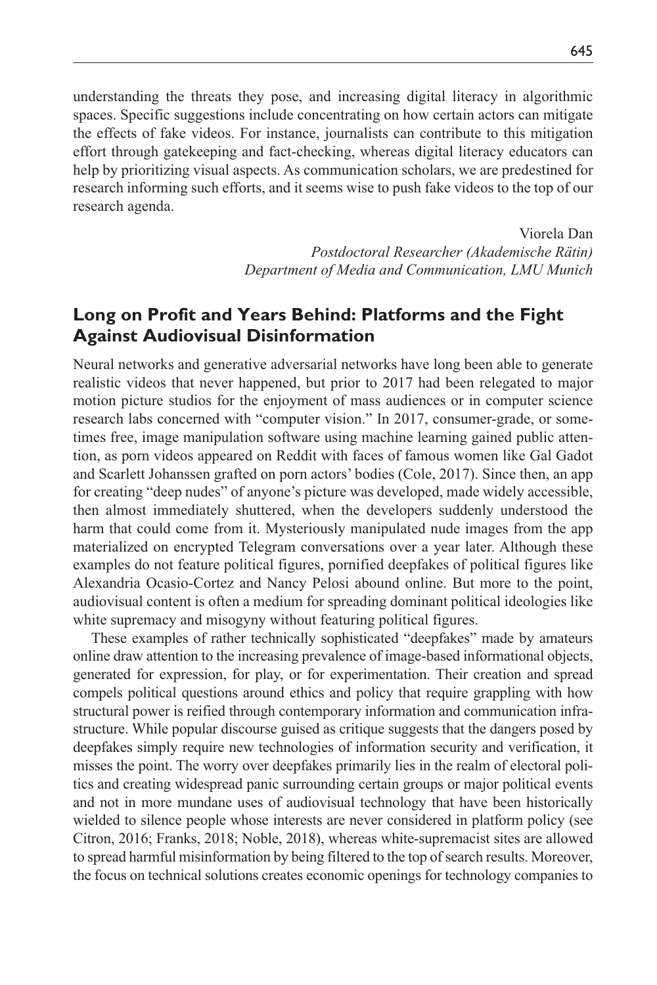understanding the threats they pose, and increasing digital literacy in algorithmic spaces. Specific suggestions include concentrating on how certain actors can mitigate the effects of fake videos. For instance, journalists can contribute to this mitigation effort through gatekeeping and fact-checking, whereas digital literacy educators can help by prioritizing visual aspects. As communication scholars, we are predestined for research informing such efforts, and it seems wise to push fake videos to the top of our research agenda.

> Viorela Dan *Postdoctoral Researcher (Akademische Rätin) Department of Media and Communication, LMU Munich*

## **Long on Profit and Years Behind: Platforms and the Fight Against Audiovisual Disinformation**

Neural networks and generative adversarial networks have long been able to generate realistic videos that never happened, but prior to 2017 had been relegated to major motion picture studios for the enjoyment of mass audiences or in computer science research labs concerned with "computer vision." In 2017, consumer-grade, or sometimes free, image manipulation software using machine learning gained public attention, as porn videos appeared on Reddit with faces of famous women like Gal Gadot and Scarlett Johanssen grafted on porn actors' bodies (Cole, 2017). Since then, an app for creating "deep nudes" of anyone's picture was developed, made widely accessible, then almost immediately shuttered, when the developers suddenly understood the harm that could come from it. Mysteriously manipulated nude images from the app materialized on encrypted Telegram conversations over a year later. Although these examples do not feature political figures, pornified deepfakes of political figures like Alexandria Ocasio-Cortez and Nancy Pelosi abound online. But more to the point, audiovisual content is often a medium for spreading dominant political ideologies like white supremacy and misogyny without featuring political figures.

These examples of rather technically sophisticated "deepfakes" made by amateurs online draw attention to the increasing prevalence of image-based informational objects, generated for expression, for play, or for experimentation. Their creation and spread compels political questions around ethics and policy that require grappling with how structural power is reified through contemporary information and communication infrastructure. While popular discourse guised as critique suggests that the dangers posed by deepfakes simply require new technologies of information security and verification, it misses the point. The worry over deepfakes primarily lies in the realm of electoral politics and creating widespread panic surrounding certain groups or major political events and not in more mundane uses of audiovisual technology that have been historically wielded to silence people whose interests are never considered in platform policy (see Citron, 2016; Franks, 2018; Noble, 2018), whereas white-supremacist sites are allowed to spread harmful misinformation by being filtered to the top of search results. Moreover, the focus on technical solutions creates economic openings for technology companies to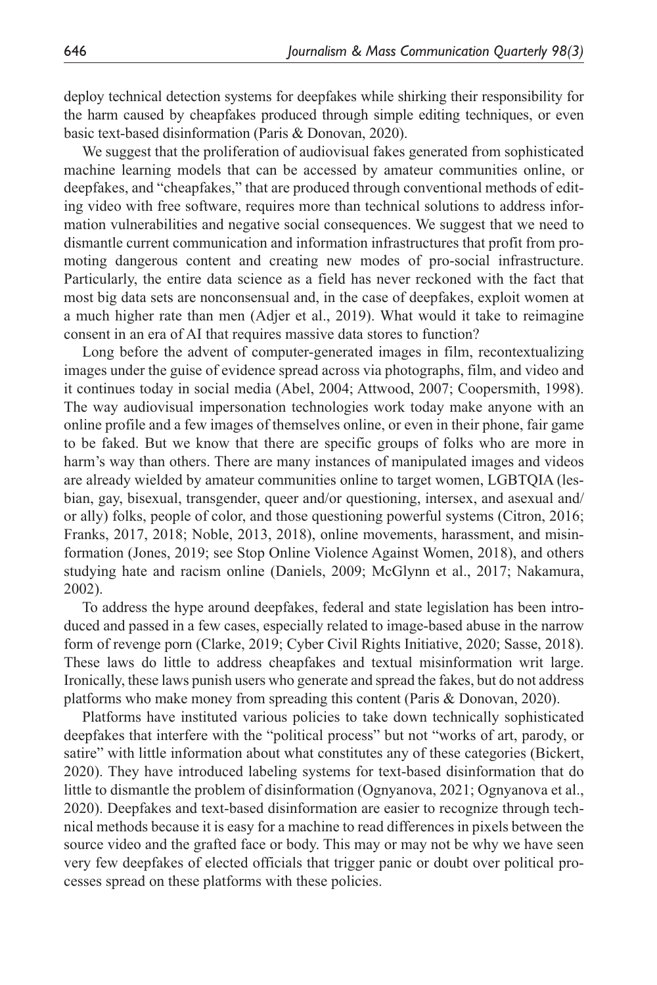deploy technical detection systems for deepfakes while shirking their responsibility for the harm caused by cheapfakes produced through simple editing techniques, or even basic text-based disinformation (Paris & Donovan, 2020).

We suggest that the proliferation of audiovisual fakes generated from sophisticated machine learning models that can be accessed by amateur communities online, or deepfakes, and "cheapfakes," that are produced through conventional methods of editing video with free software, requires more than technical solutions to address information vulnerabilities and negative social consequences. We suggest that we need to dismantle current communication and information infrastructures that profit from promoting dangerous content and creating new modes of pro-social infrastructure. Particularly, the entire data science as a field has never reckoned with the fact that most big data sets are nonconsensual and, in the case of deepfakes, exploit women at a much higher rate than men (Adjer et al., 2019). What would it take to reimagine consent in an era of AI that requires massive data stores to function?

Long before the advent of computer-generated images in film, recontextualizing images under the guise of evidence spread across via photographs, film, and video and it continues today in social media (Abel, 2004; Attwood, 2007; Coopersmith, 1998). The way audiovisual impersonation technologies work today make anyone with an online profile and a few images of themselves online, or even in their phone, fair game to be faked. But we know that there are specific groups of folks who are more in harm's way than others. There are many instances of manipulated images and videos are already wielded by amateur communities online to target women, LGBTQIA (lesbian, gay, bisexual, transgender, queer and/or questioning, intersex, and asexual and/ or ally) folks, people of color, and those questioning powerful systems (Citron, 2016; Franks, 2017, 2018; Noble, 2013, 2018), online movements, harassment, and misinformation (Jones, 2019; see Stop Online Violence Against Women, 2018), and others studying hate and racism online (Daniels, 2009; McGlynn et al., 2017; Nakamura, 2002).

To address the hype around deepfakes, federal and state legislation has been introduced and passed in a few cases, especially related to image-based abuse in the narrow form of revenge porn (Clarke, 2019; Cyber Civil Rights Initiative, 2020; Sasse, 2018). These laws do little to address cheapfakes and textual misinformation writ large. Ironically, these laws punish users who generate and spread the fakes, but do not address platforms who make money from spreading this content (Paris & Donovan, 2020).

Platforms have instituted various policies to take down technically sophisticated deepfakes that interfere with the "political process" but not "works of art, parody, or satire" with little information about what constitutes any of these categories (Bickert, 2020). They have introduced labeling systems for text-based disinformation that do little to dismantle the problem of disinformation (Ognyanova, 2021; Ognyanova et al., 2020). Deepfakes and text-based disinformation are easier to recognize through technical methods because it is easy for a machine to read differences in pixels between the source video and the grafted face or body. This may or may not be why we have seen very few deepfakes of elected officials that trigger panic or doubt over political processes spread on these platforms with these policies.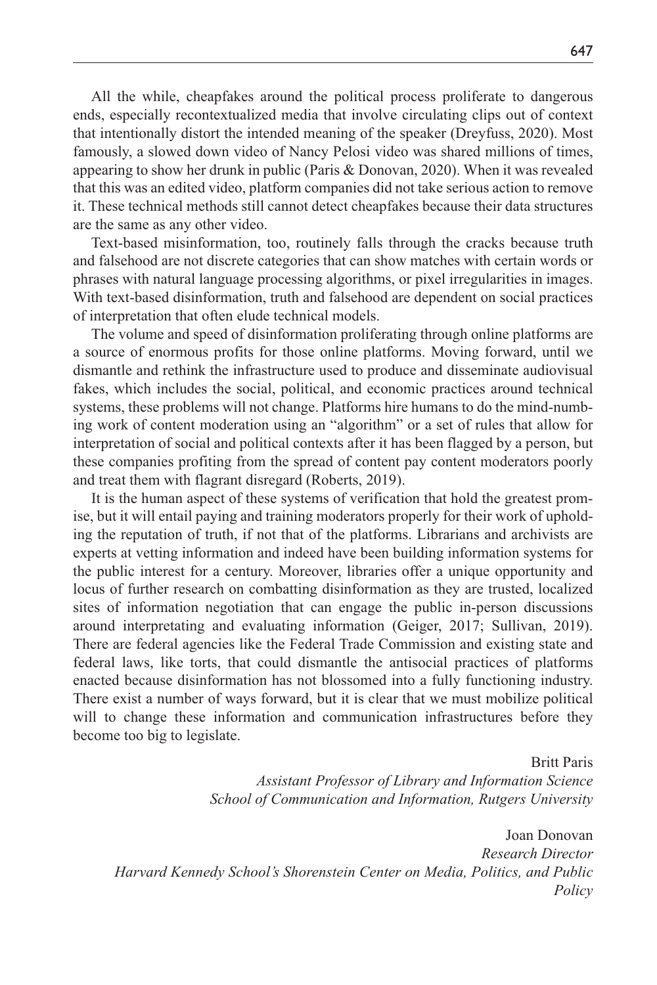All the while, cheapfakes around the political process proliferate to dangerous ends, especially recontextualized media that involve circulating clips out of context that intentionally distort the intended meaning of the speaker (Dreyfuss, 2020). Most famously, a slowed down video of Nancy Pelosi video was shared millions of times, appearing to show her drunk in public (Paris & Donovan, 2020). When it was revealed that this was an edited video, platform companies did not take serious action to remove it. These technical methods still cannot detect cheapfakes because their data structures are the same as any other video.

Text-based misinformation, too, routinely falls through the cracks because truth and falsehood are not discrete categories that can show matches with certain words or phrases with natural language processing algorithms, or pixel irregularities in images. With text-based disinformation, truth and falsehood are dependent on social practices of interpretation that often elude technical models.

The volume and speed of disinformation proliferating through online platforms are a source of enormous profits for those online platforms. Moving forward, until we dismantle and rethink the infrastructure used to produce and disseminate audiovisual fakes, which includes the social, political, and economic practices around technical systems, these problems will not change. Platforms hire humans to do the mind-numbing work of content moderation using an "algorithm" or a set of rules that allow for interpretation of social and political contexts after it has been flagged by a person, but these companies profiting from the spread of content pay content moderators poorly and treat them with flagrant disregard (Roberts, 2019).

It is the human aspect of these systems of verification that hold the greatest promise, but it will entail paying and training moderators properly for their work of upholding the reputation of truth, if not that of the platforms. Librarians and archivists are experts at vetting information and indeed have been building information systems for the public interest for a century. Moreover, libraries offer a unique opportunity and locus of further research on combatting disinformation as they are trusted, localized sites of information negotiation that can engage the public in-person discussions around interpretating and evaluating information (Geiger, 2017; Sullivan, 2019). There are federal agencies like the Federal Trade Commission and existing state and federal laws, like torts, that could dismantle the antisocial practices of platforms enacted because disinformation has not blossomed into a fully functioning industry. There exist a number of ways forward, but it is clear that we must mobilize political will to change these information and communication infrastructures before they become too big to legislate.

> Britt Paris *Assistant Professor of Library and Information Science School of Communication and Information, Rutgers University*

Joan Donovan *Research Director Harvard Kennedy School's Shorenstein Center on Media, Politics, and Public Policy*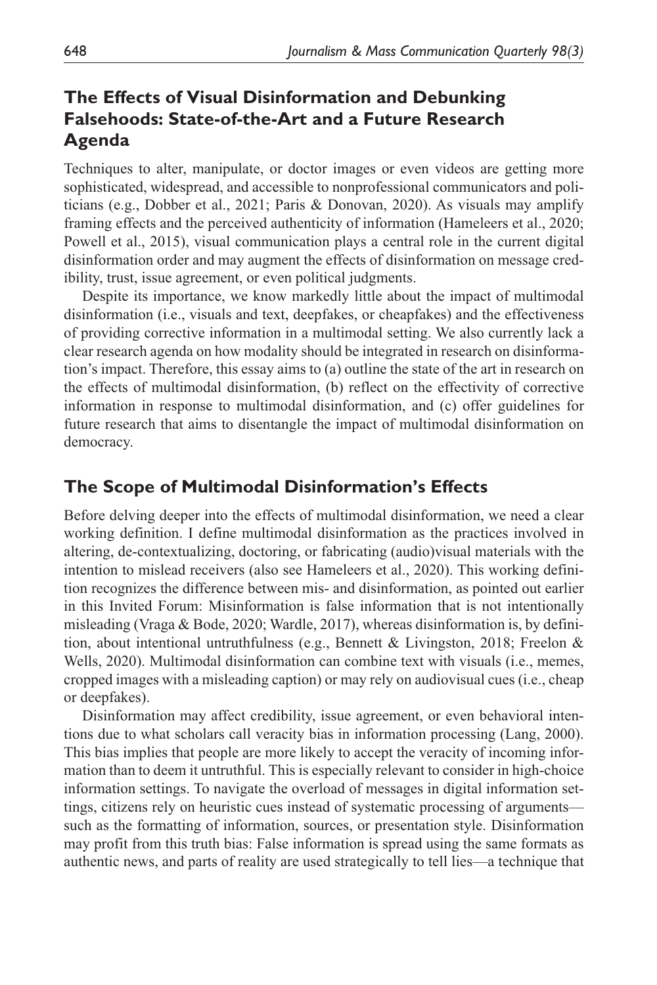# **The Effects of Visual Disinformation and Debunking Falsehoods: State-of-the-Art and a Future Research Agenda**

Techniques to alter, manipulate, or doctor images or even videos are getting more sophisticated, widespread, and accessible to nonprofessional communicators and politicians (e.g., Dobber et al., 2021; Paris & Donovan, 2020). As visuals may amplify framing effects and the perceived authenticity of information (Hameleers et al., 2020; Powell et al., 2015), visual communication plays a central role in the current digital disinformation order and may augment the effects of disinformation on message credibility, trust, issue agreement, or even political judgments.

Despite its importance, we know markedly little about the impact of multimodal disinformation (i.e., visuals and text, deepfakes, or cheapfakes) and the effectiveness of providing corrective information in a multimodal setting. We also currently lack a clear research agenda on how modality should be integrated in research on disinformation's impact. Therefore, this essay aims to (a) outline the state of the art in research on the effects of multimodal disinformation, (b) reflect on the effectivity of corrective information in response to multimodal disinformation, and (c) offer guidelines for future research that aims to disentangle the impact of multimodal disinformation on democracy.

## **The Scope of Multimodal Disinformation's Effects**

Before delving deeper into the effects of multimodal disinformation, we need a clear working definition. I define multimodal disinformation as the practices involved in altering, de-contextualizing, doctoring, or fabricating (audio)visual materials with the intention to mislead receivers (also see Hameleers et al., 2020). This working definition recognizes the difference between mis- and disinformation, as pointed out earlier in this Invited Forum: Misinformation is false information that is not intentionally misleading (Vraga & Bode, 2020; Wardle, 2017), whereas disinformation is, by definition, about intentional untruthfulness (e.g., Bennett & Livingston, 2018; Freelon & Wells, 2020). Multimodal disinformation can combine text with visuals (i.e., memes, cropped images with a misleading caption) or may rely on audiovisual cues (i.e., cheap or deepfakes).

Disinformation may affect credibility, issue agreement, or even behavioral intentions due to what scholars call veracity bias in information processing (Lang, 2000). This bias implies that people are more likely to accept the veracity of incoming information than to deem it untruthful. This is especially relevant to consider in high-choice information settings. To navigate the overload of messages in digital information settings, citizens rely on heuristic cues instead of systematic processing of arguments such as the formatting of information, sources, or presentation style. Disinformation may profit from this truth bias: False information is spread using the same formats as authentic news, and parts of reality are used strategically to tell lies—a technique that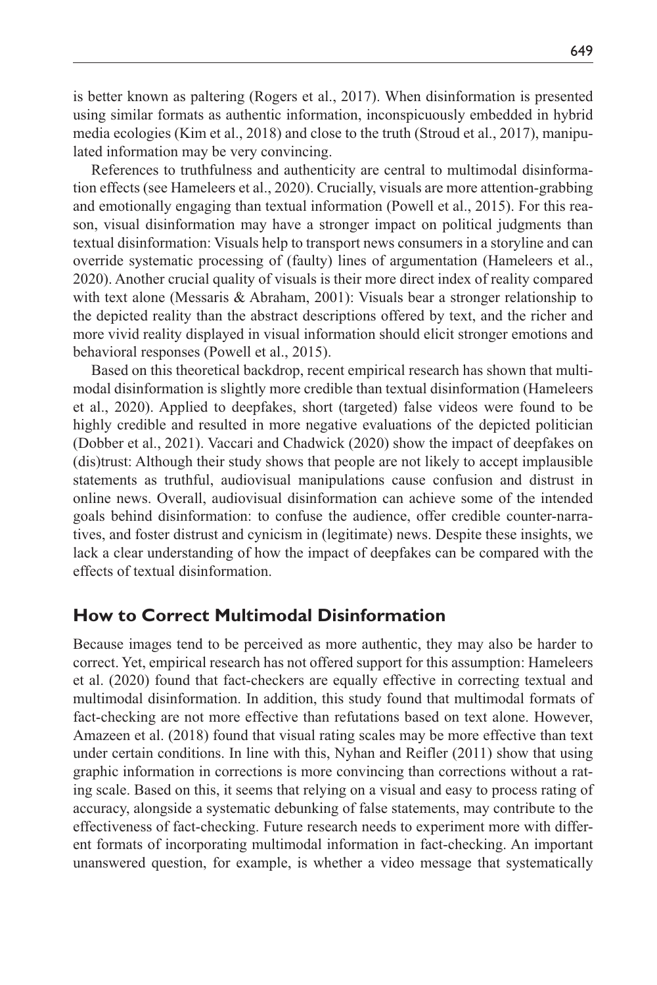is better known as paltering (Rogers et al., 2017). When disinformation is presented using similar formats as authentic information, inconspicuously embedded in hybrid media ecologies (Kim et al., 2018) and close to the truth (Stroud et al., 2017), manipulated information may be very convincing.

References to truthfulness and authenticity are central to multimodal disinformation effects (see Hameleers et al., 2020). Crucially, visuals are more attention-grabbing and emotionally engaging than textual information (Powell et al., 2015). For this reason, visual disinformation may have a stronger impact on political judgments than textual disinformation: Visuals help to transport news consumers in a storyline and can override systematic processing of (faulty) lines of argumentation (Hameleers et al., 2020). Another crucial quality of visuals is their more direct index of reality compared with text alone (Messaris & Abraham, 2001): Visuals bear a stronger relationship to the depicted reality than the abstract descriptions offered by text, and the richer and more vivid reality displayed in visual information should elicit stronger emotions and behavioral responses (Powell et al., 2015).

Based on this theoretical backdrop, recent empirical research has shown that multimodal disinformation is slightly more credible than textual disinformation (Hameleers et al., 2020). Applied to deepfakes, short (targeted) false videos were found to be highly credible and resulted in more negative evaluations of the depicted politician (Dobber et al., 2021). Vaccari and Chadwick (2020) show the impact of deepfakes on (dis)trust: Although their study shows that people are not likely to accept implausible statements as truthful, audiovisual manipulations cause confusion and distrust in online news. Overall, audiovisual disinformation can achieve some of the intended goals behind disinformation: to confuse the audience, offer credible counter-narratives, and foster distrust and cynicism in (legitimate) news. Despite these insights, we lack a clear understanding of how the impact of deepfakes can be compared with the effects of textual disinformation.

### **How to Correct Multimodal Disinformation**

Because images tend to be perceived as more authentic, they may also be harder to correct. Yet, empirical research has not offered support for this assumption: Hameleers et al. (2020) found that fact-checkers are equally effective in correcting textual and multimodal disinformation. In addition, this study found that multimodal formats of fact-checking are not more effective than refutations based on text alone. However, Amazeen et al. (2018) found that visual rating scales may be more effective than text under certain conditions. In line with this, Nyhan and Reifler (2011) show that using graphic information in corrections is more convincing than corrections without a rating scale. Based on this, it seems that relying on a visual and easy to process rating of accuracy, alongside a systematic debunking of false statements, may contribute to the effectiveness of fact-checking. Future research needs to experiment more with different formats of incorporating multimodal information in fact-checking. An important unanswered question, for example, is whether a video message that systematically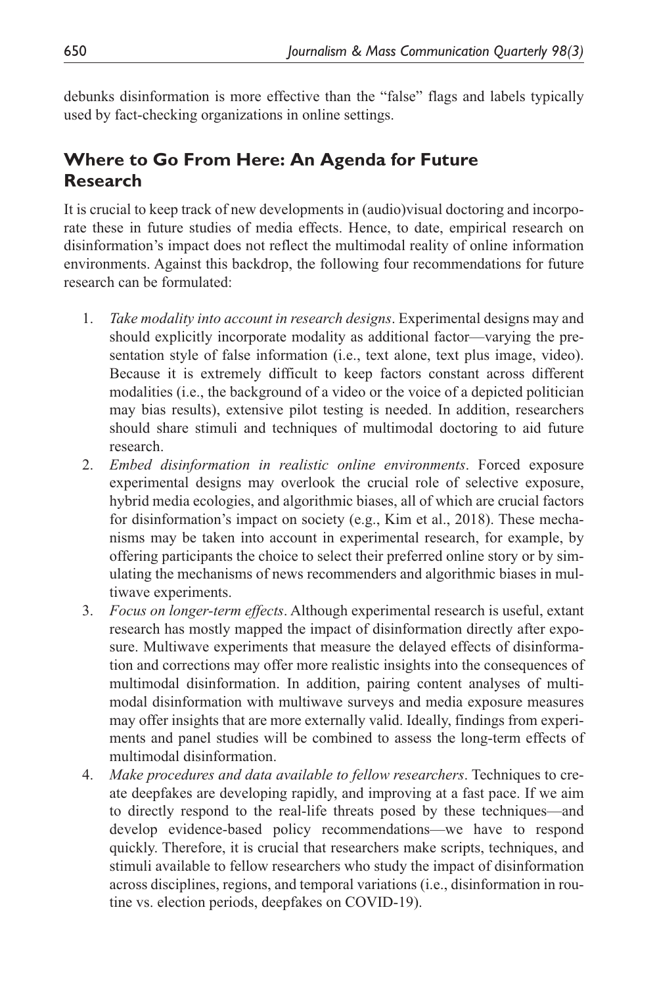debunks disinformation is more effective than the "false" flags and labels typically used by fact-checking organizations in online settings.

# **Where to Go From Here: An Agenda for Future Research**

It is crucial to keep track of new developments in (audio)visual doctoring and incorporate these in future studies of media effects. Hence, to date, empirical research on disinformation's impact does not reflect the multimodal reality of online information environments. Against this backdrop, the following four recommendations for future research can be formulated:

- 1. *Take modality into account in research designs*. Experimental designs may and should explicitly incorporate modality as additional factor—varying the presentation style of false information (i.e., text alone, text plus image, video). Because it is extremely difficult to keep factors constant across different modalities (i.e., the background of a video or the voice of a depicted politician may bias results), extensive pilot testing is needed. In addition, researchers should share stimuli and techniques of multimodal doctoring to aid future research.
- 2. *Embed disinformation in realistic online environments*. Forced exposure experimental designs may overlook the crucial role of selective exposure, hybrid media ecologies, and algorithmic biases, all of which are crucial factors for disinformation's impact on society (e.g., Kim et al., 2018). These mechanisms may be taken into account in experimental research, for example, by offering participants the choice to select their preferred online story or by simulating the mechanisms of news recommenders and algorithmic biases in multiwave experiments.
- 3. *Focus on longer-term effects*. Although experimental research is useful, extant research has mostly mapped the impact of disinformation directly after exposure. Multiwave experiments that measure the delayed effects of disinformation and corrections may offer more realistic insights into the consequences of multimodal disinformation. In addition, pairing content analyses of multimodal disinformation with multiwave surveys and media exposure measures may offer insights that are more externally valid. Ideally, findings from experiments and panel studies will be combined to assess the long-term effects of multimodal disinformation.
- 4. *Make procedures and data available to fellow researchers*. Techniques to create deepfakes are developing rapidly, and improving at a fast pace. If we aim to directly respond to the real-life threats posed by these techniques—and develop evidence-based policy recommendations—we have to respond quickly. Therefore, it is crucial that researchers make scripts, techniques, and stimuli available to fellow researchers who study the impact of disinformation across disciplines, regions, and temporal variations (i.e., disinformation in routine vs. election periods, deepfakes on COVID-19).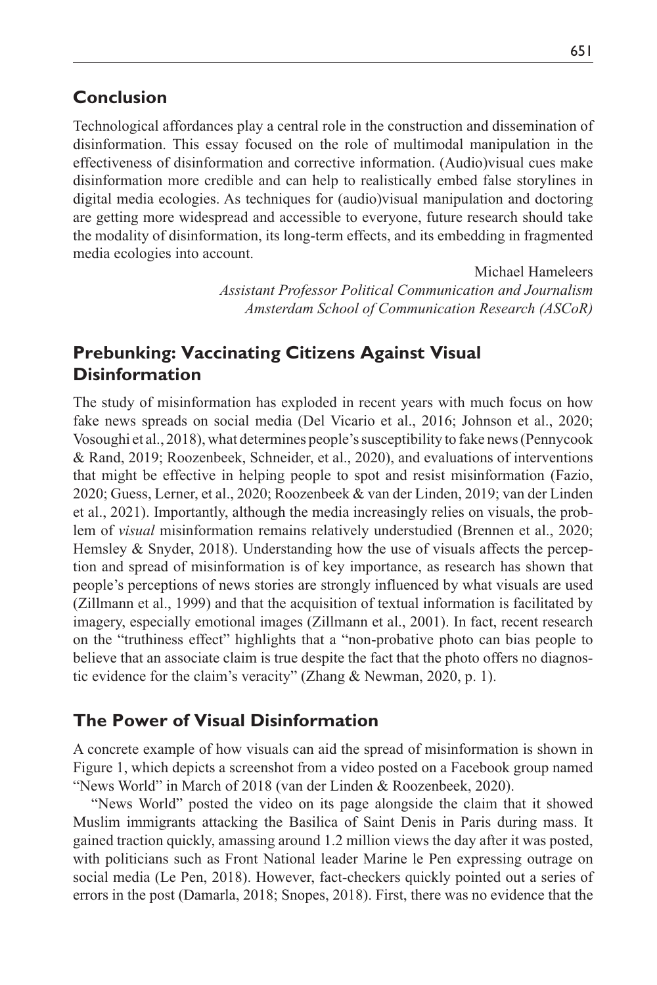#### **Conclusion**

Technological affordances play a central role in the construction and dissemination of disinformation. This essay focused on the role of multimodal manipulation in the effectiveness of disinformation and corrective information. (Audio)visual cues make disinformation more credible and can help to realistically embed false storylines in digital media ecologies. As techniques for (audio)visual manipulation and doctoring are getting more widespread and accessible to everyone, future research should take the modality of disinformation, its long-term effects, and its embedding in fragmented media ecologies into account.

> Michael Hameleers *Assistant Professor Political Communication and Journalism Amsterdam School of Communication Research (ASCoR)*

## **Prebunking: Vaccinating Citizens Against Visual Disinformation**

The study of misinformation has exploded in recent years with much focus on how fake news spreads on social media (Del Vicario et al., 2016; Johnson et al., 2020; Vosoughi et al., 2018), what determines people's susceptibility to fake news (Pennycook & Rand, 2019; Roozenbeek, Schneider, et al., 2020), and evaluations of interventions that might be effective in helping people to spot and resist misinformation (Fazio, 2020; Guess, Lerner, et al., 2020; Roozenbeek & van der Linden, 2019; van der Linden et al., 2021). Importantly, although the media increasingly relies on visuals, the problem of *visual* misinformation remains relatively understudied (Brennen et al., 2020; Hemsley & Snyder, 2018). Understanding how the use of visuals affects the perception and spread of misinformation is of key importance, as research has shown that people's perceptions of news stories are strongly influenced by what visuals are used (Zillmann et al., 1999) and that the acquisition of textual information is facilitated by imagery, especially emotional images (Zillmann et al., 2001). In fact, recent research on the "truthiness effect" highlights that a "non-probative photo can bias people to believe that an associate claim is true despite the fact that the photo offers no diagnostic evidence for the claim's veracity" (Zhang & Newman, 2020, p. 1).

### **The Power of Visual Disinformation**

A concrete example of how visuals can aid the spread of misinformation is shown in Figure 1, which depicts a screenshot from a video posted on a Facebook group named "News World" in March of 2018 (van der Linden & Roozenbeek, 2020).

"News World" posted the video on its page alongside the claim that it showed Muslim immigrants attacking the Basilica of Saint Denis in Paris during mass. It gained traction quickly, amassing around 1.2 million views the day after it was posted, with politicians such as Front National leader Marine le Pen expressing outrage on social media (Le Pen, 2018). However, fact-checkers quickly pointed out a series of errors in the post (Damarla, 2018; Snopes, 2018). First, there was no evidence that the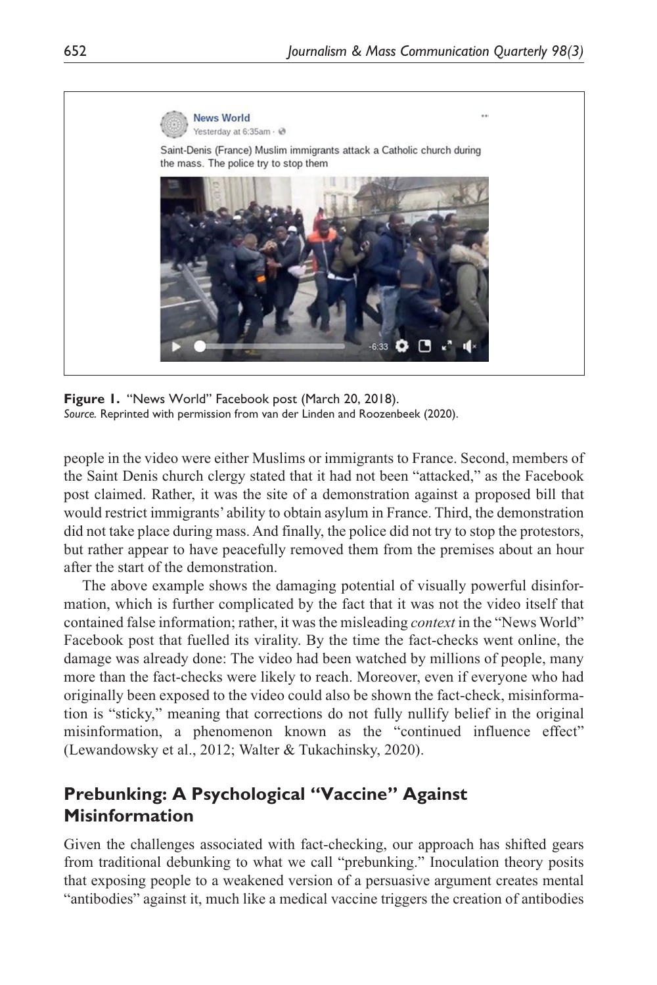

**Figure 1.** "News World" Facebook post (March 20, 2018). *Source.* Reprinted with permission from van der Linden and Roozenbeek (2020).

people in the video were either Muslims or immigrants to France. Second, members of the Saint Denis church clergy stated that it had not been "attacked," as the Facebook post claimed. Rather, it was the site of a demonstration against a proposed bill that would restrict immigrants' ability to obtain asylum in France. Third, the demonstration did not take place during mass. And finally, the police did not try to stop the protestors, but rather appear to have peacefully removed them from the premises about an hour after the start of the demonstration.

The above example shows the damaging potential of visually powerful disinformation, which is further complicated by the fact that it was not the video itself that contained false information; rather, it was the misleading *context* in the "News World" Facebook post that fuelled its virality. By the time the fact-checks went online, the damage was already done: The video had been watched by millions of people, many more than the fact-checks were likely to reach. Moreover, even if everyone who had originally been exposed to the video could also be shown the fact-check, misinformation is "sticky," meaning that corrections do not fully nullify belief in the original misinformation, a phenomenon known as the "continued influence effect" (Lewandowsky et al., 2012; Walter & Tukachinsky, 2020).

## **Prebunking: A Psychological "Vaccine" Against Misinformation**

Given the challenges associated with fact-checking, our approach has shifted gears from traditional debunking to what we call "prebunking." Inoculation theory posits that exposing people to a weakened version of a persuasive argument creates mental "antibodies" against it, much like a medical vaccine triggers the creation of antibodies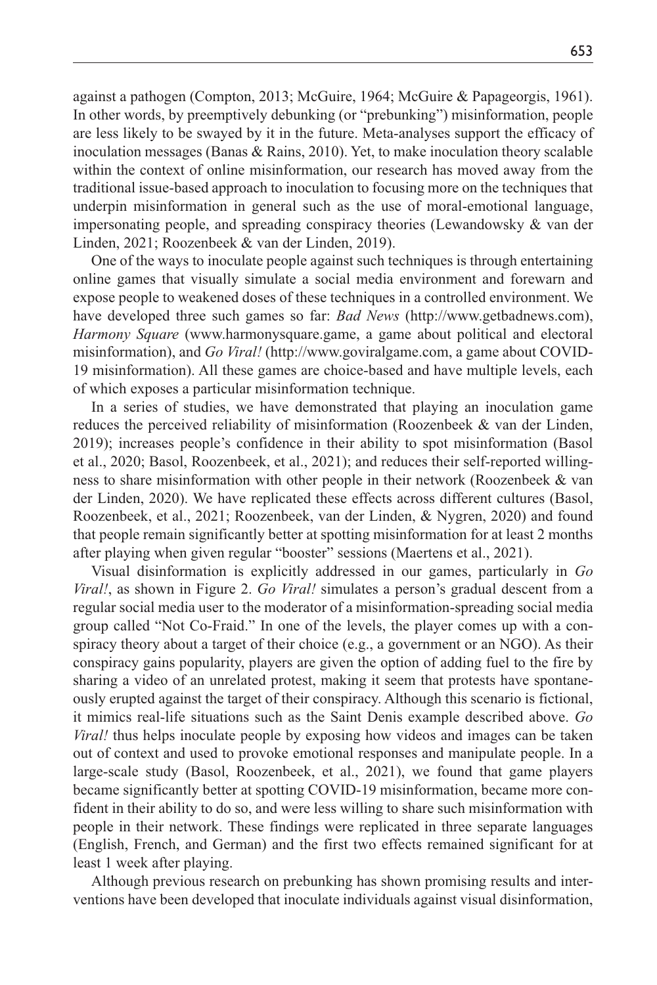against a pathogen (Compton, 2013; McGuire, 1964; McGuire & Papageorgis, 1961). In other words, by preemptively debunking (or "prebunking") misinformation, people are less likely to be swayed by it in the future. Meta-analyses support the efficacy of inoculation messages (Banas & Rains, 2010). Yet, to make inoculation theory scalable within the context of online misinformation, our research has moved away from the traditional issue-based approach to inoculation to focusing more on the techniques that underpin misinformation in general such as the use of moral-emotional language, impersonating people, and spreading conspiracy theories (Lewandowsky & van der Linden, 2021; Roozenbeek & van der Linden, 2019).

One of the ways to inoculate people against such techniques is through entertaining online games that visually simulate a social media environment and forewarn and expose people to weakened doses of these techniques in a controlled environment. We have developed three such games so far: *Bad News* (<http://www.getbadnews.com>), *Harmony Square* (<www.harmonysquare.game>, a game about political and electoral misinformation), and *Go Viral!* ([http://www.goviralgame.com,](http://www.goviralgame.com) a game about COVID-19 misinformation). All these games are choice-based and have multiple levels, each of which exposes a particular misinformation technique.

In a series of studies, we have demonstrated that playing an inoculation game reduces the perceived reliability of misinformation (Roozenbeek & van der Linden, 2019); increases people's confidence in their ability to spot misinformation (Basol et al., 2020; Basol, Roozenbeek, et al., 2021); and reduces their self-reported willingness to share misinformation with other people in their network (Roozenbeek & van der Linden, 2020). We have replicated these effects across different cultures (Basol, Roozenbeek, et al., 2021; Roozenbeek, van der Linden, & Nygren, 2020) and found that people remain significantly better at spotting misinformation for at least 2 months after playing when given regular "booster" sessions (Maertens et al., 2021).

Visual disinformation is explicitly addressed in our games, particularly in *Go Viral!*, as shown in Figure 2. *Go Viral!* simulates a person's gradual descent from a regular social media user to the moderator of a misinformation-spreading social media group called "Not Co-Fraid." In one of the levels, the player comes up with a conspiracy theory about a target of their choice (e.g., a government or an NGO). As their conspiracy gains popularity, players are given the option of adding fuel to the fire by sharing a video of an unrelated protest, making it seem that protests have spontaneously erupted against the target of their conspiracy. Although this scenario is fictional, it mimics real-life situations such as the Saint Denis example described above. *Go Viral!* thus helps inoculate people by exposing how videos and images can be taken out of context and used to provoke emotional responses and manipulate people. In a large-scale study (Basol, Roozenbeek, et al., 2021), we found that game players became significantly better at spotting COVID-19 misinformation, became more confident in their ability to do so, and were less willing to share such misinformation with people in their network. These findings were replicated in three separate languages (English, French, and German) and the first two effects remained significant for at least 1 week after playing.

Although previous research on prebunking has shown promising results and interventions have been developed that inoculate individuals against visual disinformation,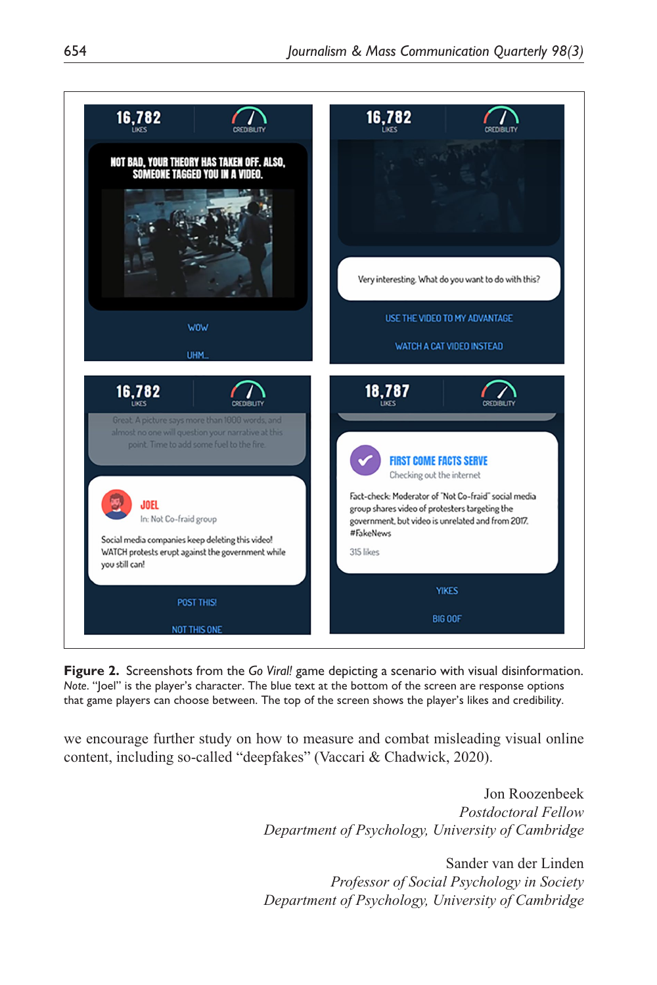

**Figure 2.** Screenshots from the *Go Viral!* game depicting a scenario with visual disinformation. *Note*. "Joel" is the player's character. The blue text at the bottom of the screen are response options that game players can choose between. The top of the screen shows the player's likes and credibility.

we encourage further study on how to measure and combat misleading visual online content, including so-called "deepfakes" (Vaccari & Chadwick, 2020).

> Jon Roozenbeek *Postdoctoral Fellow Department of Psychology, University of Cambridge*

> Sander van der Linden *Professor of Social Psychology in Society Department of Psychology, University of Cambridge*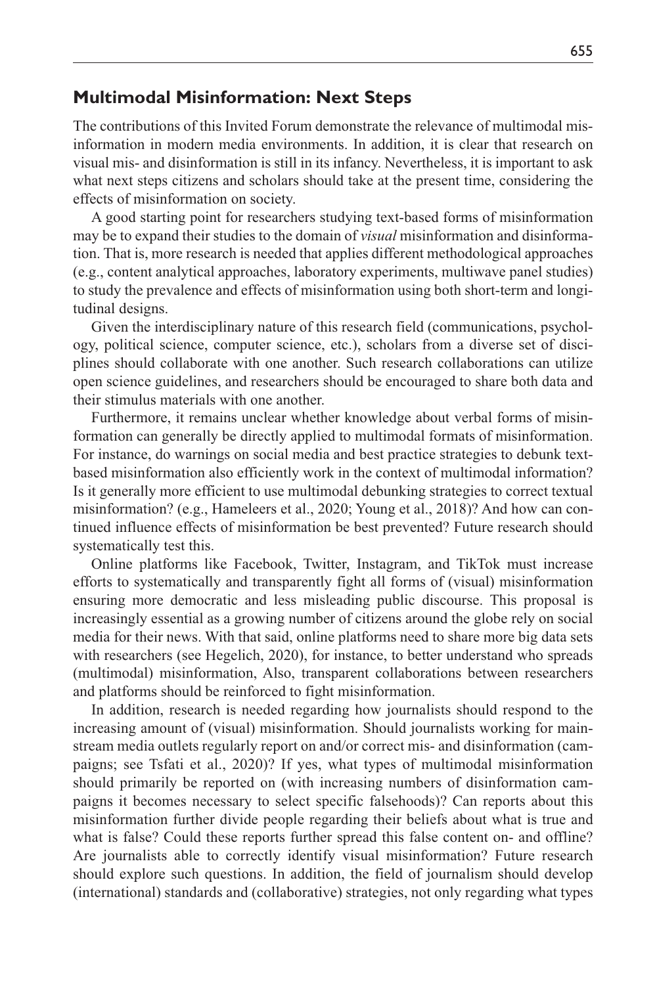#### **Multimodal Misinformation: Next Steps**

The contributions of this Invited Forum demonstrate the relevance of multimodal misinformation in modern media environments. In addition, it is clear that research on visual mis- and disinformation is still in its infancy. Nevertheless, it is important to ask what next steps citizens and scholars should take at the present time, considering the effects of misinformation on society.

A good starting point for researchers studying text-based forms of misinformation may be to expand their studies to the domain of *visual* misinformation and disinformation. That is, more research is needed that applies different methodological approaches (e.g., content analytical approaches, laboratory experiments, multiwave panel studies) to study the prevalence and effects of misinformation using both short-term and longitudinal designs.

Given the interdisciplinary nature of this research field (communications, psychology, political science, computer science, etc.), scholars from a diverse set of disciplines should collaborate with one another. Such research collaborations can utilize open science guidelines, and researchers should be encouraged to share both data and their stimulus materials with one another.

Furthermore, it remains unclear whether knowledge about verbal forms of misinformation can generally be directly applied to multimodal formats of misinformation. For instance, do warnings on social media and best practice strategies to debunk textbased misinformation also efficiently work in the context of multimodal information? Is it generally more efficient to use multimodal debunking strategies to correct textual misinformation? (e.g., Hameleers et al., 2020; Young et al., 2018)? And how can continued influence effects of misinformation be best prevented? Future research should systematically test this.

Online platforms like Facebook, Twitter, Instagram, and TikTok must increase efforts to systematically and transparently fight all forms of (visual) misinformation ensuring more democratic and less misleading public discourse. This proposal is increasingly essential as a growing number of citizens around the globe rely on social media for their news. With that said, online platforms need to share more big data sets with researchers (see Hegelich, 2020), for instance, to better understand who spreads (multimodal) misinformation, Also, transparent collaborations between researchers and platforms should be reinforced to fight misinformation.

In addition, research is needed regarding how journalists should respond to the increasing amount of (visual) misinformation. Should journalists working for mainstream media outlets regularly report on and/or correct mis- and disinformation (campaigns; see Tsfati et al., 2020)? If yes, what types of multimodal misinformation should primarily be reported on (with increasing numbers of disinformation campaigns it becomes necessary to select specific falsehoods)? Can reports about this misinformation further divide people regarding their beliefs about what is true and what is false? Could these reports further spread this false content on- and offline? Are journalists able to correctly identify visual misinformation? Future research should explore such questions. In addition, the field of journalism should develop (international) standards and (collaborative) strategies, not only regarding what types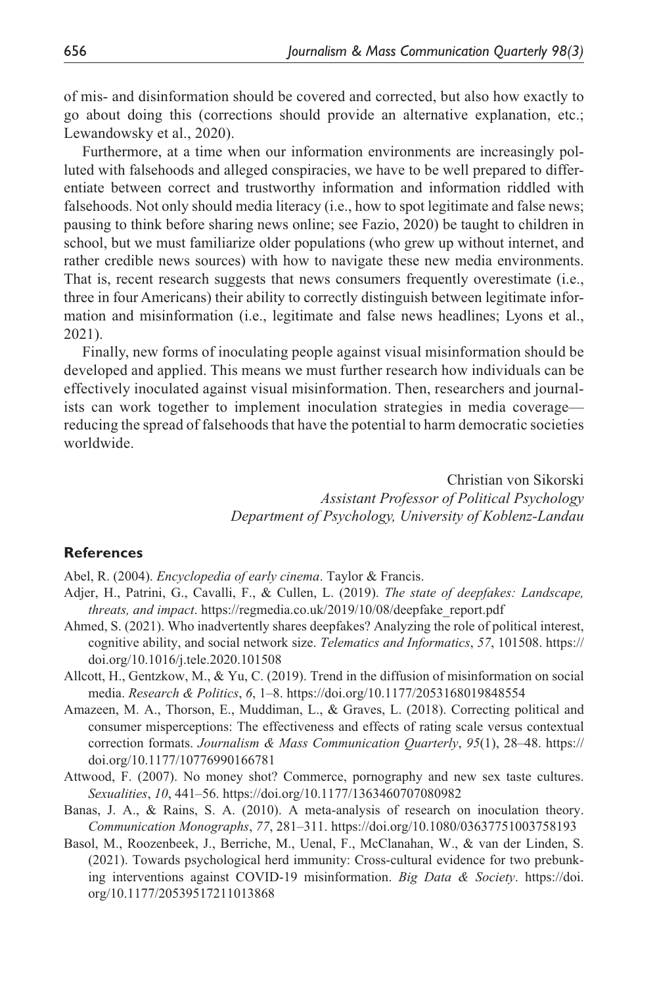of mis- and disinformation should be covered and corrected, but also how exactly to go about doing this (corrections should provide an alternative explanation, etc.; Lewandowsky et al., 2020).

Furthermore, at a time when our information environments are increasingly polluted with falsehoods and alleged conspiracies, we have to be well prepared to differentiate between correct and trustworthy information and information riddled with falsehoods. Not only should media literacy (i.e., how to spot legitimate and false news; pausing to think before sharing news online; see Fazio, 2020) be taught to children in school, but we must familiarize older populations (who grew up without internet, and rather credible news sources) with how to navigate these new media environments. That is, recent research suggests that news consumers frequently overestimate (i.e., three in four Americans) their ability to correctly distinguish between legitimate information and misinformation (i.e., legitimate and false news headlines; Lyons et al., 2021).

Finally, new forms of inoculating people against visual misinformation should be developed and applied. This means we must further research how individuals can be effectively inoculated against visual misinformation. Then, researchers and journalists can work together to implement inoculation strategies in media coverage reducing the spread of falsehoods that have the potential to harm democratic societies worldwide.

> Christian von Sikorski *Assistant Professor of Political Psychology Department of Psychology, University of Koblenz-Landau*

#### **References**

Abel, R. (2004). *Encyclopedia of early cinema*. Taylor & Francis.

- Adjer, H., Patrini, G., Cavalli, F., & Cullen, L. (2019). *The state of deepfakes: Landscape, threats, and impact*. [https://regmedia.co.uk/2019/10/08/deepfake\\_report.pdf](https://regmedia.co.uk/2019/10/08/deepfake_report.pdf)
- Ahmed, S. (2021). Who inadvertently shares deepfakes? Analyzing the role of political interest, cognitive ability, and social network size. *Telematics and Informatics*, *57*, 101508. [https://](https://doi.org/10.1016/j.tele.2020.101508) [doi.org/10.1016/j.tele.2020.101508](https://doi.org/10.1016/j.tele.2020.101508)
- Allcott, H., Gentzkow, M., & Yu, C. (2019). Trend in the diffusion of misinformation on social media. *Research & Politics*, *6*, 1–8.<https://doi.org/10.1177/2053168019848554>
- Amazeen, M. A., Thorson, E., Muddiman, L., & Graves, L. (2018). Correcting political and consumer misperceptions: The effectiveness and effects of rating scale versus contextual correction formats. *Journalism & Mass Communication Quarterly*, *95*(1), 28–48. [https://](https://doi.org/10.1177/10776990166781) [doi.org/10.1177/10776990166781](https://doi.org/10.1177/10776990166781)
- Attwood, F. (2007). No money shot? Commerce, pornography and new sex taste cultures. *Sexualities*, *10*, 441–56.<https://doi.org/10.1177/1363460707080982>
- Banas, J. A., & Rains, S. A. (2010). A meta-analysis of research on inoculation theory. *Communication Monographs*, *77*, 281–311. <https://doi.org/10.1080/03637751003758193>
- Basol, M., Roozenbeek, J., Berriche, M., Uenal, F., McClanahan, W., & van der Linden, S. (2021). Towards psychological herd immunity: Cross-cultural evidence for two prebunking interventions against COVID-19 misinformation. *Big Data & Society*. [https://doi.](https://doi.org/10.1177/20539517211013868) [org/10.1177/20539517211013868](https://doi.org/10.1177/20539517211013868)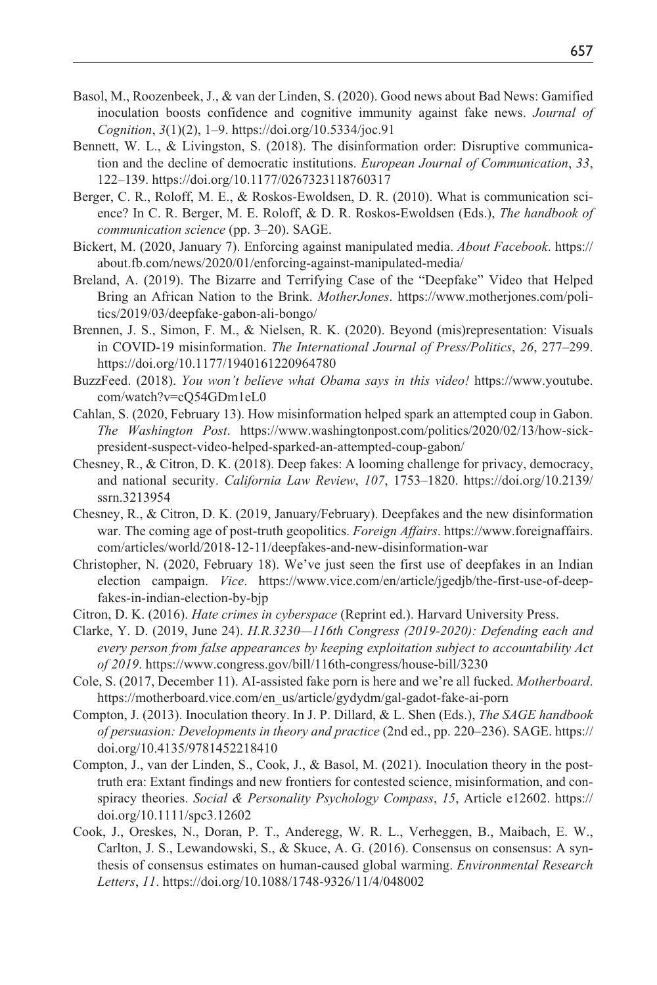- Basol, M., Roozenbeek, J., & van der Linden, S. (2020). Good news about Bad News: Gamified inoculation boosts confidence and cognitive immunity against fake news. *Journal of Cognition*, *3*(1)(2), 1–9.<https://doi.org/10.5334/joc.91>
- Bennett, W. L., & Livingston, S. (2018). The disinformation order: Disruptive communication and the decline of democratic institutions. *European Journal of Communication*, *33*, 122–139.<https://doi.org/10.1177/0267323118760317>
- Berger, C. R., Roloff, M. E., & Roskos-Ewoldsen, D. R. (2010). What is communication science? In C. R. Berger, M. E. Roloff, & D. R. Roskos-Ewoldsen (Eds.), *The handbook of communication science* (pp. 3–20). SAGE.
- Bickert, M. (2020, January 7). Enforcing against manipulated media. *About Facebook*. [https://](https://about.fb.com/news/2020/01/enforcing-against-manipulated-media/) [about.fb.com/news/2020/01/enforcing-against-manipulated-media/](https://about.fb.com/news/2020/01/enforcing-against-manipulated-media/)
- Breland, A. (2019). The Bizarre and Terrifying Case of the "Deepfake" Video that Helped Bring an African Nation to the Brink. *MotherJones*. [https://www.motherjones.com/poli](https://www.motherjones.com/politics/2019/03/deepfake-gabon-ali-bongo/)[tics/2019/03/deepfake-gabon-ali-bongo/](https://www.motherjones.com/politics/2019/03/deepfake-gabon-ali-bongo/)
- Brennen, J. S., Simon, F. M., & Nielsen, R. K. (2020). Beyond (mis)representation: Visuals in COVID-19 misinformation. *The International Journal of Press/Politics*, *26*, 277–299. <https://doi.org/10.1177/1940161220964780>
- BuzzFeed. (2018). *You won't believe what Obama says in this video!* [https://www.youtube.](https://www.youtube.com/watch?v=cQ54GDm1eL0) [com/watch?v=cQ54GDm1eL0](https://www.youtube.com/watch?v=cQ54GDm1eL0)
- Cahlan, S. (2020, February 13). How misinformation helped spark an attempted coup in Gabon. *The Washington Post*. [https://www.washingtonpost.com/politics/2020/02/13/how-sick](https://www.washingtonpost.com/politics/2020/02/13/how-sick-president-suspect-video-helped-sparked-an-attempted-coup-gabon/)[president-suspect-video-helped-sparked-an-attempted-coup-gabon/](https://www.washingtonpost.com/politics/2020/02/13/how-sick-president-suspect-video-helped-sparked-an-attempted-coup-gabon/)
- Chesney, R., & Citron, D. K. (2018). Deep fakes: A looming challenge for privacy, democracy, and national security. *California Law Review*, *107*, 1753–1820. [https://doi.org/10.2139/](https://doi.org/10.2139/ssrn.3213954) [ssrn.3213954](https://doi.org/10.2139/ssrn.3213954)
- Chesney, R., & Citron, D. K. (2019, January/February). Deepfakes and the new disinformation war. The coming age of post-truth geopolitics. *Foreign Affairs*. [https://www.foreignaffairs.](https://www.foreignaffairs.com/articles/world/2018-12-11/deepfakes-and-new-disinformation-war) [com/articles/world/2018-12-11/deepfakes-and-new-disinformation-war](https://www.foreignaffairs.com/articles/world/2018-12-11/deepfakes-and-new-disinformation-war)
- Christopher, N. (2020, February 18). We've just seen the first use of deepfakes in an Indian election campaign. *Vice*. [https://www.vice.com/en/article/jgedjb/the-first-use-of-deep](https://www.vice.com/en/article/jgedjb/the-first-use-of-deepfakes-in-indian-election-by-bjp)[fakes-in-indian-election-by-bjp](https://www.vice.com/en/article/jgedjb/the-first-use-of-deepfakes-in-indian-election-by-bjp)
- Citron, D. K. (2016). *Hate crimes in cyberspace* (Reprint ed.). Harvard University Press.
- Clarke, Y. D. (2019, June 24). *H.R.3230—116th Congress (2019-2020): Defending each and every person from false appearances by keeping exploitation subject to accountability Act of 2019*. <https://www.congress.gov/bill/116th-congress/house-bill/3230>
- Cole, S. (2017, December 11). AI-assisted fake porn is here and we're all fucked. *Motherboard*. [https://motherboard.vice.com/en\\_us/article/gydydm/gal-gadot-fake-ai-porn](https://motherboard.vice.com/en_us/article/gydydm/gal-gadot-fake-ai-porn)
- Compton, J. (2013). Inoculation theory. In J. P. Dillard, & L. Shen (Eds.), *The SAGE handbook of persuasion: Developments in theory and practice* (2nd ed., pp. 220–236). SAGE. [https://](https://doi.org/10.4135/9781452218410) [doi.org/10.4135/9781452218410](https://doi.org/10.4135/9781452218410)
- Compton, J., van der Linden, S., Cook, J., & Basol, M. (2021). Inoculation theory in the posttruth era: Extant findings and new frontiers for contested science, misinformation, and conspiracy theories. *Social & Personality Psychology Compass*, *15*, Article e12602. [https://](https://doi.org/10.1111/spc3.12602) [doi.org/10.1111/spc3.12602](https://doi.org/10.1111/spc3.12602)
- Cook, J., Oreskes, N., Doran, P. T., Anderegg, W. R. L., Verheggen, B., Maibach, E. W., Carlton, J. S., Lewandowski, S., & Skuce, A. G. (2016). Consensus on consensus: A synthesis of consensus estimates on human-caused global warming. *Environmental Research Letters*, *11*. <https://doi.org/10.1088/1748-9326/11/4/048002>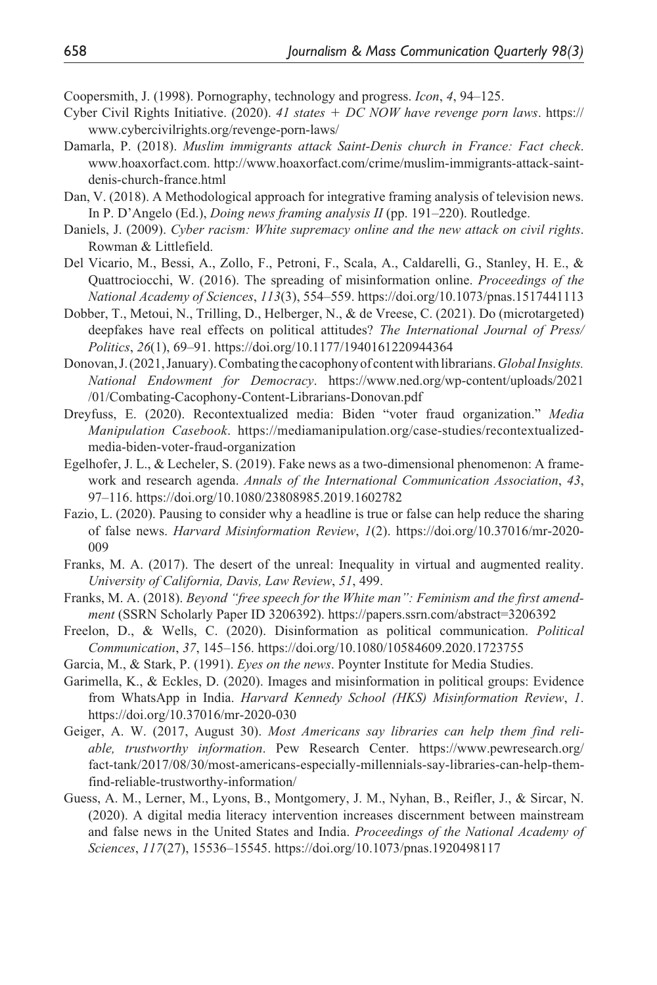Coopersmith, J. (1998). Pornography, technology and progress. *Icon*, *4*, 94–125.

- Cyber Civil Rights Initiative. (2020). *41 states* + *DC NOW have revenge porn laws*. [https://](https://www.cybercivilrights.org/revenge-porn-laws/) [www.cybercivilrights.org/revenge-porn-laws/](https://www.cybercivilrights.org/revenge-porn-laws/)
- Damarla, P. (2018). *Muslim immigrants attack Saint-Denis church in France: Fact check*. [www.hoaxorfact.com.](www.hoaxorfact.com) [http://www.hoaxorfact.com/crime/muslim-immigrants-attack-saint](http://www.hoaxorfact.com/crime/muslim-immigrants-attack-saint-denis-church-france.html)[denis-church-france.html](http://www.hoaxorfact.com/crime/muslim-immigrants-attack-saint-denis-church-france.html)
- Dan, V. (2018). A Methodological approach for integrative framing analysis of television news. In P. D'Angelo (Ed.), *Doing news framing analysis II* (pp. 191–220). Routledge.
- Daniels, J. (2009). *Cyber racism: White supremacy online and the new attack on civil rights*. Rowman & Littlefield.
- Del Vicario, M., Bessi, A., Zollo, F., Petroni, F., Scala, A., Caldarelli, G., Stanley, H. E., & Quattrociocchi, W. (2016). The spreading of misinformation online. *Proceedings of the National Academy of Sciences*, *113*(3), 554–559.<https://doi.org/10.1073/pnas.1517441113>
- Dobber, T., Metoui, N., Trilling, D., Helberger, N., & de Vreese, C. (2021). Do (microtargeted) deepfakes have real effects on political attitudes? *The International Journal of Press/ Politics*, *26*(1), 69–91. <https://doi.org/10.1177/1940161220944364>
- Donovan, J. (2021, January). Combating the cacophony of content with librarians. *Global Insights. National Endowment for Democracy*. [https://www.ned.org/wp-content/uploads/2021](https://www.ned.org/wp-content/uploads/2021
/01/Combating-Cacophony-Content-Librarians-Donovan.pdf) [/01/Combating-Cacophony-Content-Librarians-Donovan.pdf](https://www.ned.org/wp-content/uploads/2021
/01/Combating-Cacophony-Content-Librarians-Donovan.pdf)
- Dreyfuss, E. (2020). Recontextualized media: Biden "voter fraud organization." *Media Manipulation Casebook*. [https://mediamanipulation.org/case-studies/recontextualized](https://mediamanipulation.org/case-studies/recontextualized-media-biden-voter-fraud-organization)[media-biden-voter-fraud-organization](https://mediamanipulation.org/case-studies/recontextualized-media-biden-voter-fraud-organization)
- Egelhofer, J. L., & Lecheler, S. (2019). Fake news as a two-dimensional phenomenon: A framework and research agenda. *Annals of the International Communication Association*, *43*, 97–116. <https://doi.org/10.1080/23808985.2019.1602782>
- Fazio, L. (2020). Pausing to consider why a headline is true or false can help reduce the sharing of false news. *Harvard Misinformation Review*, *1*(2). [https://doi.org/10.37016/mr-2020-](https://doi.org/10.37016/mr-2020-009) [009](https://doi.org/10.37016/mr-2020-009)
- Franks, M. A. (2017). The desert of the unreal: Inequality in virtual and augmented reality. *University of California, Davis, Law Review*, *51*, 499.
- Franks, M. A. (2018). *Beyond "free speech for the White man": Feminism and the first amendment* (SSRN Scholarly Paper ID 3206392). <https://papers.ssrn.com/abstract=3206392>
- Freelon, D., & Wells, C. (2020). Disinformation as political communication. *Political Communication*, *37*, 145–156. <https://doi.org/10.1080/10584609.2020.1723755>
- Garcia, M., & Stark, P. (1991). *Eyes on the news*. Poynter Institute for Media Studies.
- Garimella, K., & Eckles, D. (2020). Images and misinformation in political groups: Evidence from WhatsApp in India. *Harvard Kennedy School (HKS) Misinformation Review*, *1*. <https://doi.org/10.37016/mr-2020-030>
- Geiger, A. W. (2017, August 30). *Most Americans say libraries can help them find reliable, trustworthy information*. Pew Research Center. [https://www.pewresearch.org/](https://www.pewresearch.org/fact-tank/2017/08/30/most-americans-especially-millennials-say-libraries-can-help-them-find-reliable-trustworthy-information/) [fact-tank/2017/08/30/most-americans-especially-millennials-say-libraries-can-help-them](https://www.pewresearch.org/fact-tank/2017/08/30/most-americans-especially-millennials-say-libraries-can-help-them-find-reliable-trustworthy-information/)[find-reliable-trustworthy-information/](https://www.pewresearch.org/fact-tank/2017/08/30/most-americans-especially-millennials-say-libraries-can-help-them-find-reliable-trustworthy-information/)
- Guess, A. M., Lerner, M., Lyons, B., Montgomery, J. M., Nyhan, B., Reifler, J., & Sircar, N. (2020). A digital media literacy intervention increases discernment between mainstream and false news in the United States and India. *Proceedings of the National Academy of Sciences*, *117*(27), 15536–15545.<https://doi.org/10.1073/pnas.1920498117>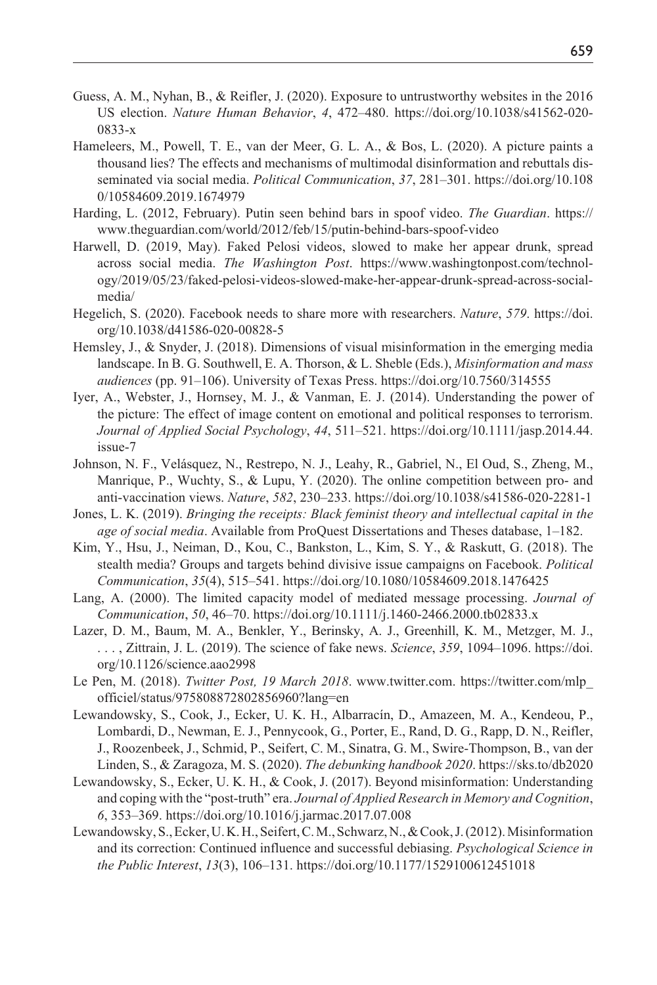- Guess, A. M., Nyhan, B., & Reifler, J. (2020). Exposure to untrustworthy websites in the 2016 US election. *Nature Human Behavior*, *4*, 472–480. [https://doi.org/10.1038/s41562-020-](https://doi.org/10.1038/s41562-020-0833-x) [0833-x](https://doi.org/10.1038/s41562-020-0833-x)
- Hameleers, M., Powell, T. E., van der Meer, G. L. A., & Bos, L. (2020). A picture paints a thousand lies? The effects and mechanisms of multimodal disinformation and rebuttals disseminated via social media. *Political Communication*, *37*, 281–301. [https://doi.org/10.108](https://doi.org/10.1080/10584609.2019.1674979) [0/10584609.2019.1674979](https://doi.org/10.1080/10584609.2019.1674979)
- Harding, L. (2012, February). Putin seen behind bars in spoof video. *The Guardian*. [https://](https://www.theguardian.com/world/2012/feb/15/putin-behind-bars-spoof-video) [www.theguardian.com/world/2012/feb/15/putin-behind-bars-spoof-video](https://www.theguardian.com/world/2012/feb/15/putin-behind-bars-spoof-video)
- Harwell, D. (2019, May). Faked Pelosi videos, slowed to make her appear drunk, spread across social media. *The Washington Post*. [https://www.washingtonpost.com/technol](https://www.washingtonpost.com/technology/2019/05/23/faked-pelosi-videos-slowed-make-her-appear-drunk-spread-across-social-media/)[ogy/2019/05/23/faked-pelosi-videos-slowed-make-her-appear-drunk-spread-across-social](https://www.washingtonpost.com/technology/2019/05/23/faked-pelosi-videos-slowed-make-her-appear-drunk-spread-across-social-media/)[media/](https://www.washingtonpost.com/technology/2019/05/23/faked-pelosi-videos-slowed-make-her-appear-drunk-spread-across-social-media/)
- Hegelich, S. (2020). Facebook needs to share more with researchers. *Nature*, *579*. [https://doi.](https://doi.org/10.1038/d41586-020-00828-5) [org/10.1038/d41586-020-00828-5](https://doi.org/10.1038/d41586-020-00828-5)
- Hemsley, J., & Snyder, J. (2018). Dimensions of visual misinformation in the emerging media landscape. In B. G. Southwell, E. A. Thorson, & L. Sheble (Eds.), *Misinformation and mass audiences* (pp. 91–106). University of Texas Press.<https://doi.org/10.7560/314555>
- Iyer, A., Webster, J., Hornsey, M. J., & Vanman, E. J. (2014). Understanding the power of the picture: The effect of image content on emotional and political responses to terrorism. *Journal of Applied Social Psychology*, *44*, 511–521. [https://doi.org/10.1111/jasp.2014.44.](https://doi.org/10.1111/jasp.2014.44.issue-7) [issue-7](https://doi.org/10.1111/jasp.2014.44.issue-7)
- Johnson, N. F., Velásquez, N., Restrepo, N. J., Leahy, R., Gabriel, N., El Oud, S., Zheng, M., Manrique, P., Wuchty, S., & Lupu, Y. (2020). The online competition between pro- and anti-vaccination views. *Nature*, *582*, 230–233.<https://doi.org/10.1038/s41586-020-2281-1>
- Jones, L. K. (2019). *Bringing the receipts: Black feminist theory and intellectual capital in the age of social media*. Available from ProQuest Dissertations and Theses database, 1–182.
- Kim, Y., Hsu, J., Neiman, D., Kou, C., Bankston, L., Kim, S. Y., & Raskutt, G. (2018). The stealth media? Groups and targets behind divisive issue campaigns on Facebook. *Political Communication*, *35*(4), 515–541. <https://doi.org/10.1080/10584609.2018.1476425>
- Lang, A. (2000). The limited capacity model of mediated message processing. *Journal of Communication*, *50*, 46–70. <https://doi.org/10.1111/j.1460-2466.2000.tb02833.x>
- Lazer, D. M., Baum, M. A., Benkler, Y., Berinsky, A. J., Greenhill, K. M., Metzger, M. J., . . . , Zittrain, J. L. (2019). The science of fake news. *Science*, *359*, 1094–1096. [https://doi.](https://doi.org/10.1126/science.aao2998) [org/10.1126/science.aao2998](https://doi.org/10.1126/science.aao2998)
- Le Pen, M. (2018). *Twitter Post, 19 March 2018*. <www.twitter.com>. [https://twitter.com/mlp\\_](https://twitter.com/mlp_officiel/status/975808872802856960?lang=en) [officiel/status/975808872802856960?lang=en](https://twitter.com/mlp_officiel/status/975808872802856960?lang=en)
- Lewandowsky, S., Cook, J., Ecker, U. K. H., Albarracín, D., Amazeen, M. A., Kendeou, P., Lombardi, D., Newman, E. J., Pennycook, G., Porter, E., Rand, D. G., Rapp, D. N., Reifler, J., Roozenbeek, J., Schmid, P., Seifert, C. M., Sinatra, G. M., Swire-Thompson, B., van der Linden, S., & Zaragoza, M. S. (2020). *The debunking handbook 2020*.<https://sks.to/db2020>
- Lewandowsky, S., Ecker, U. K. H., & Cook, J. (2017). Beyond misinformation: Understanding and coping with the "post-truth" era. *Journal of Applied Research in Memory and Cognition*, *6*, 353–369.<https://doi.org/10.1016/j.jarmac.2017.07.008>
- Lewandowsky, S., Ecker, U. K. H., Seifert, C. M., Schwarz, N., & Cook, J. (2012). Misinformation and its correction: Continued influence and successful debiasing. *Psychological Science in the Public Interest*, *13*(3), 106–131. <https://doi.org/10.1177/1529100612451018>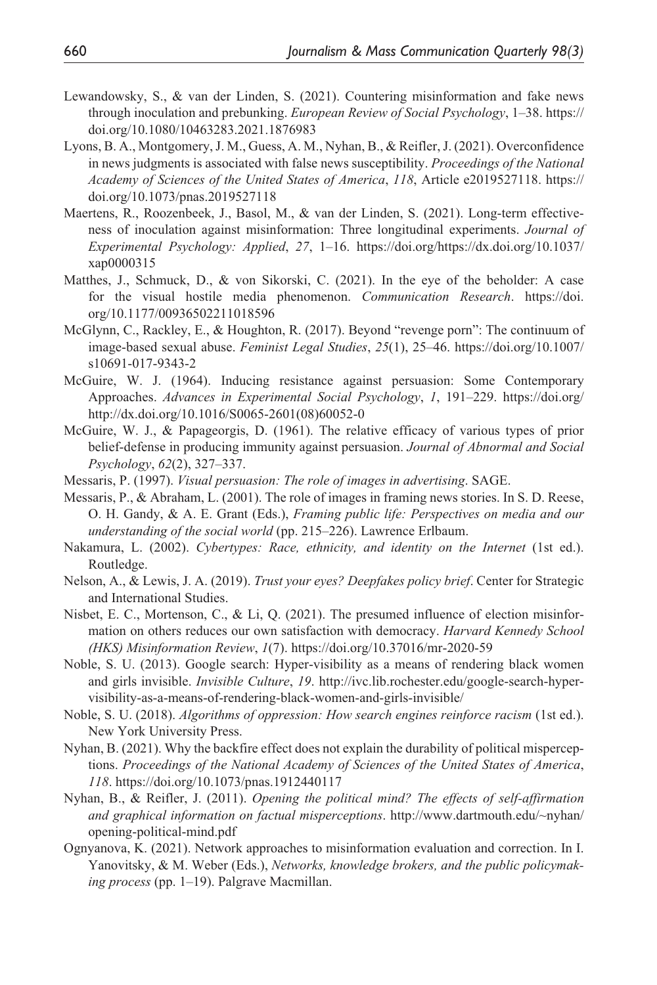- Lewandowsky, S., & van der Linden, S. (2021). Countering misinformation and fake news through inoculation and prebunking. *European Review of Social Psychology*, 1–38. [https://](https://doi.org/10.1080/10463283.2021.1876983) [doi.org/10.1080/10463283.2021.1876983](https://doi.org/10.1080/10463283.2021.1876983)
- Lyons, B. A., Montgomery, J. M., Guess, A. M., Nyhan, B., & Reifler, J. (2021). Overconfidence in news judgments is associated with false news susceptibility. *Proceedings of the National Academy of Sciences of the United States of America*, *118*, Article e2019527118. [https://](https://doi.org/10.1073/pnas.2019527118) [doi.org/10.1073/pnas.2019527118](https://doi.org/10.1073/pnas.2019527118)
- Maertens, R., Roozenbeek, J., Basol, M., & van der Linden, S. (2021). Long-term effectiveness of inoculation against misinformation: Three longitudinal experiments. *Journal of Experimental Psychology: Applied*, *27*, 1–16. [https://doi.org/https://dx.doi.org/10.1037/](https://doi.org/https://dx.doi.org/10.1037/xap0000315) [xap0000315](https://doi.org/https://dx.doi.org/10.1037/xap0000315)
- Matthes, J., Schmuck, D., & von Sikorski, C. (2021). In the eye of the beholder: A case for the visual hostile media phenomenon. *Communication Research*. [https://doi.](https://doi.org/10.1177/00936502211018596) [org/10.1177/00936502211018596](https://doi.org/10.1177/00936502211018596)
- McGlynn, C., Rackley, E., & Houghton, R. (2017). Beyond "revenge porn": The continuum of image-based sexual abuse. *Feminist Legal Studies*, *25*(1), 25–46. [https://doi.org/10.1007/](https://doi.org/10.1007/s10691-017-9343-2) [s10691-017-9343-2](https://doi.org/10.1007/s10691-017-9343-2)
- McGuire, W. J. (1964). Inducing resistance against persuasion: Some Contemporary Approaches. *Advances in Experimental Social Psychology*, *1*, 191–229. [https://doi.org/](https://doi.org/http://dx.doi.org/10.1016/S0065-2601(08)60052-0) [http://dx.doi.org/10.1016/S0065-2601\(08\)60052-0](https://doi.org/http://dx.doi.org/10.1016/S0065-2601(08)60052-0)
- McGuire, W. J., & Papageorgis, D. (1961). The relative efficacy of various types of prior belief-defense in producing immunity against persuasion. *Journal of Abnormal and Social Psychology*, *62*(2), 327–337.
- Messaris, P. (1997). *Visual persuasion: The role of images in advertising*. SAGE.
- Messaris, P., & Abraham, L. (2001). The role of images in framing news stories. In S. D. Reese, O. H. Gandy, & A. E. Grant (Eds.), *Framing public life: Perspectives on media and our understanding of the social world* (pp. 215–226). Lawrence Erlbaum.
- Nakamura, L. (2002). *Cybertypes: Race, ethnicity, and identity on the Internet* (1st ed.). Routledge.
- Nelson, A., & Lewis, J. A. (2019). *Trust your eyes? Deepfakes policy brief*. Center for Strategic and International Studies.
- Nisbet, E. C., Mortenson, C., & Li, Q. (2021). The presumed influence of election misinformation on others reduces our own satisfaction with democracy. *Harvard Kennedy School (HKS) Misinformation Review*, *1*(7).<https://doi.org/10.37016/mr-2020-59>
- Noble, S. U. (2013). Google search: Hyper-visibility as a means of rendering black women and girls invisible. *Invisible Culture*, *19*. [http://ivc.lib.rochester.edu/google-search-hyper](http://ivc.lib.rochester.edu/google-search-hyper-visibility-as-a-means-of-rendering-black-women-and-girls-invisible/)[visibility-as-a-means-of-rendering-black-women-and-girls-invisible/](http://ivc.lib.rochester.edu/google-search-hyper-visibility-as-a-means-of-rendering-black-women-and-girls-invisible/)
- Noble, S. U. (2018). *Algorithms of oppression: How search engines reinforce racism* (1st ed.). New York University Press.
- Nyhan, B. (2021). Why the backfire effect does not explain the durability of political misperceptions. *Proceedings of the National Academy of Sciences of the United States of America*, *118*.<https://doi.org/10.1073/pnas.1912440117>
- Nyhan, B., & Reifler, J. (2011). *Opening the political mind? The effects of self-affirmation and graphical information on factual misperceptions*. [http://www.dartmouth.edu/~nyhan/](http://www.dartmouth.edu/~nyhan/opening-political-mind.pdf) [opening-political-mind.pdf](http://www.dartmouth.edu/~nyhan/opening-political-mind.pdf)
- Ognyanova, K. (2021). Network approaches to misinformation evaluation and correction. In I. Yanovitsky, & M. Weber (Eds.), *Networks, knowledge brokers, and the public policymaking process* (pp. 1–19). Palgrave Macmillan.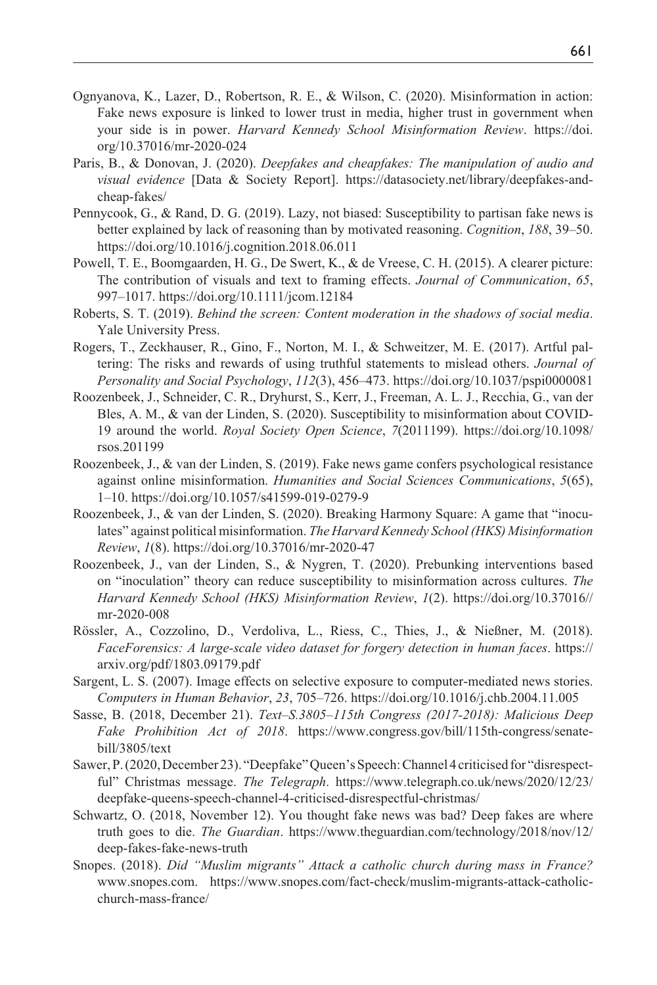- Ognyanova, K., Lazer, D., Robertson, R. E., & Wilson, C. (2020). Misinformation in action: Fake news exposure is linked to lower trust in media, higher trust in government when your side is in power. *Harvard Kennedy School Misinformation Review*. [https://doi.](https://doi.org/10.37016/mr-2020-024) [org/10.37016/mr-2020-024](https://doi.org/10.37016/mr-2020-024)
- Paris, B., & Donovan, J. (2020). *Deepfakes and cheapfakes: The manipulation of audio and visual evidence* [Data & Society Report]. [https://datasociety.net/library/deepfakes-and](https://datasociety.net/library/deepfakes-and-cheap-fakes/)[cheap-fakes/](https://datasociety.net/library/deepfakes-and-cheap-fakes/)
- Pennycook, G., & Rand, D. G. (2019). Lazy, not biased: Susceptibility to partisan fake news is better explained by lack of reasoning than by motivated reasoning. *Cognition*, *188*, 39–50. <https://doi.org/10.1016/j.cognition.2018.06.011>
- Powell, T. E., Boomgaarden, H. G., De Swert, K., & de Vreese, C. H. (2015). A clearer picture: The contribution of visuals and text to framing effects. *Journal of Communication*, *65*, 997–1017.<https://doi.org/10.1111/jcom.12184>
- Roberts, S. T. (2019). *Behind the screen: Content moderation in the shadows of social media*. Yale University Press.
- Rogers, T., Zeckhauser, R., Gino, F., Norton, M. I., & Schweitzer, M. E. (2017). Artful paltering: The risks and rewards of using truthful statements to mislead others. *Journal of Personality and Social Psychology*, *112*(3), 456–473.<https://doi.org/10.1037/pspi0000081>
- Roozenbeek, J., Schneider, C. R., Dryhurst, S., Kerr, J., Freeman, A. L. J., Recchia, G., van der Bles, A. M., & van der Linden, S. (2020). Susceptibility to misinformation about COVID-19 around the world. *Royal Society Open Science*, *7*(2011199). [https://doi.org/10.1098/](https://doi.org/10.1098/rsos.201199) [rsos.201199](https://doi.org/10.1098/rsos.201199)
- Roozenbeek, J., & van der Linden, S. (2019). Fake news game confers psychological resistance against online misinformation. *Humanities and Social Sciences Communications*, *5*(65), 1–10.<https://doi.org/10.1057/s41599-019-0279-9>
- Roozenbeek, J., & van der Linden, S. (2020). Breaking Harmony Square: A game that "inoculates" against political misinformation. *The Harvard Kennedy School (HKS) Misinformation Review*, *1*(8). <https://doi.org/10.37016/mr-2020-47>
- Roozenbeek, J., van der Linden, S., & Nygren, T. (2020). Prebunking interventions based on "inoculation" theory can reduce susceptibility to misinformation across cultures. *The Harvard Kennedy School (HKS) Misinformation Review*, *1*(2). [https://doi.org/10.37016//](https://doi.org/10.37016//mr-2020-008) [mr-2020-008](https://doi.org/10.37016//mr-2020-008)
- Rössler, A., Cozzolino, D., Verdoliva, L., Riess, C., Thies, J., & Nießner, M. (2018). *FaceForensics: A large-scale video dataset for forgery detection in human faces*. [https://](https://arxiv.org/pdf/1803.09179.pdf) [arxiv.org/pdf/1803.09179.pdf](https://arxiv.org/pdf/1803.09179.pdf)
- Sargent, L. S. (2007). Image effects on selective exposure to computer-mediated news stories. *Computers in Human Behavior*, *23*, 705–726. <https://doi.org/10.1016/j.chb.2004.11.005>
- Sasse, B. (2018, December 21). *Text–S.3805–115th Congress (2017-2018): Malicious Deep Fake Prohibition Act of 2018*. [https://www.congress.gov/bill/115th-congress/senate](https://www.congress.gov/bill/115th-congress/senate-bill/3805/text)[bill/3805/text](https://www.congress.gov/bill/115th-congress/senate-bill/3805/text)
- Sawer, P. (2020, December 23). "Deepfake" Queen's Speech: Channel 4 criticised for "disrespectful" Christmas message. *The Telegraph*. [https://www.telegraph.co.uk/news/2020/12/23/](https://www.telegraph.co.uk/news/2020/12/23/deepfake-queens-speech-channel-4-criticised-disrespectful-christmas/) [deepfake-queens-speech-channel-4-criticised-disrespectful-christmas/](https://www.telegraph.co.uk/news/2020/12/23/deepfake-queens-speech-channel-4-criticised-disrespectful-christmas/)
- Schwartz, O. (2018, November 12). You thought fake news was bad? Deep fakes are where truth goes to die. *The Guardian*. [https://www.theguardian.com/technology/2018/nov/12/](https://www.theguardian.com/technology/2018/nov/12/deep-fakes-fake-news-truth) [deep-fakes-fake-news-truth](https://www.theguardian.com/technology/2018/nov/12/deep-fakes-fake-news-truth)
- Snopes. (2018). *Did "Muslim migrants" Attack a catholic church during mass in France?* [www.snopes.com.](www.snopes.com) https:/[/www.snopes.com](www.snopes.com)/fact-check/muslim-migrants-attack-catholicchurch-mass-france/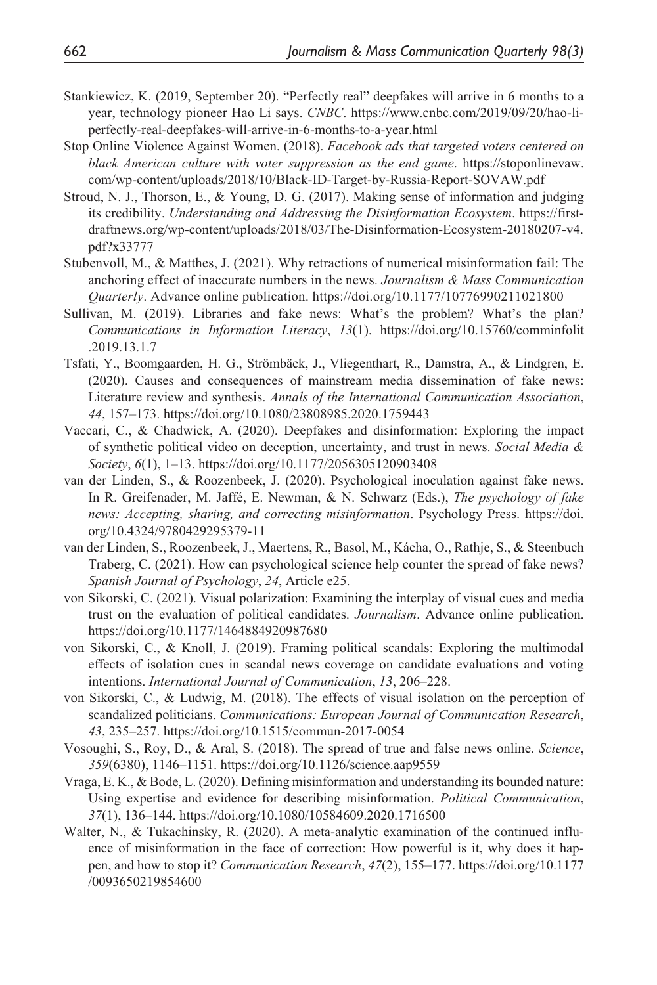- Stankiewicz, K. (2019, September 20). "Perfectly real" deepfakes will arrive in 6 months to a year, technology pioneer Hao Li says. *CNBC*. [https://www.cnbc.com/2019/09/20/hao-li](https://www.cnbc.com/2019/09/20/hao-li-perfectly-real-deepfakes-will-arrive-in-6-months-to-a-year.html)[perfectly-real-deepfakes-will-arrive-in-6-months-to-a-year.html](https://www.cnbc.com/2019/09/20/hao-li-perfectly-real-deepfakes-will-arrive-in-6-months-to-a-year.html)
- Stop Online Violence Against Women. (2018). *Facebook ads that targeted voters centered on black American culture with voter suppression as the end game*. [https://stoponlinevaw.](https://stoponlinevaw.com/wp-content/uploads/2018/10/Black-ID-Target-by-Russia-Report-SOVAW.pdf) [com/wp-content/uploads/2018/10/Black-ID-Target-by-Russia-Report-SOVAW.pdf](https://stoponlinevaw.com/wp-content/uploads/2018/10/Black-ID-Target-by-Russia-Report-SOVAW.pdf)
- Stroud, N. J., Thorson, E., & Young, D. G. (2017). Making sense of information and judging its credibility. *Understanding and Addressing the Disinformation Ecosystem*. [https://first](https://firstdraftnews.org/wp-content/uploads/2018/03/The-Disinformation-Ecosystem-20180207-v4.pdf?x33777)[draftnews.org/wp-content/uploads/2018/03/The-Disinformation-Ecosystem-20180207-v4.](https://firstdraftnews.org/wp-content/uploads/2018/03/The-Disinformation-Ecosystem-20180207-v4.pdf?x33777) [pdf?x33777](https://firstdraftnews.org/wp-content/uploads/2018/03/The-Disinformation-Ecosystem-20180207-v4.pdf?x33777)
- Stubenvoll, M., & Matthes, J. (2021). Why retractions of numerical misinformation fail: The anchoring effect of inaccurate numbers in the news. *Journalism & Mass Communication Quarterly*. Advance online publication.<https://doi.org/10.1177/10776990211021800>
- Sullivan, M. (2019). Libraries and fake news: What's the problem? What's the plan? *Communications in Information Literacy*, *13*(1). <https://doi.org/10.15760/comminfolit> .2019.13.1.7
- Tsfati, Y., Boomgaarden, H. G., Strömbäck, J., Vliegenthart, R., Damstra, A., & Lindgren, E. (2020). Causes and consequences of mainstream media dissemination of fake news: Literature review and synthesis. *Annals of the International Communication Association*, *44*, 157–173. <https://doi.org/10.1080/23808985.2020.1759443>
- Vaccari, C., & Chadwick, A. (2020). Deepfakes and disinformation: Exploring the impact of synthetic political video on deception, uncertainty, and trust in news. *Social Media & Society*, *6*(1), 1–13.<https://doi.org/10.1177/2056305120903408>
- van der Linden, S., & Roozenbeek, J. (2020). Psychological inoculation against fake news. In R. Greifenader, M. Jaffé, E. Newman, & N. Schwarz (Eds.), *The psychology of fake news: Accepting, sharing, and correcting misinformation*. Psychology Press. [https://doi.](https://doi.org/10.4324/9780429295379-11) [org/10.4324/9780429295379-11](https://doi.org/10.4324/9780429295379-11)
- van der Linden, S., Roozenbeek, J., Maertens, R., Basol, M., Kácha, O., Rathje, S., & Steenbuch Traberg, C. (2021). How can psychological science help counter the spread of fake news? *Spanish Journal of Psychology*, *24*, Article e25.
- von Sikorski, C. (2021). Visual polarization: Examining the interplay of visual cues and media trust on the evaluation of political candidates. *Journalism*. Advance online publication. <https://doi.org/10.1177/1464884920987680>
- von Sikorski, C., & Knoll, J. (2019). Framing political scandals: Exploring the multimodal effects of isolation cues in scandal news coverage on candidate evaluations and voting intentions. *International Journal of Communication*, *13*, 206–228.
- von Sikorski, C., & Ludwig, M. (2018). The effects of visual isolation on the perception of scandalized politicians. *Communications: European Journal of Communication Research*, *43*, 235–257. <https://doi.org/10.1515/commun-2017-0054>
- Vosoughi, S., Roy, D., & Aral, S. (2018). The spread of true and false news online. *Science*, *359*(6380), 1146–1151. <https://doi.org/10.1126/science.aap9559>
- Vraga, E. K., & Bode, L. (2020). Defining misinformation and understanding its bounded nature: Using expertise and evidence for describing misinformation. *Political Communication*, *37*(1), 136–144. <https://doi.org/10.1080/10584609.2020.1716500>
- Walter, N., & Tukachinsky, R. (2020). A meta-analytic examination of the continued influence of misinformation in the face of correction: How powerful is it, why does it happen, and how to stop it? *Communication Research*, *47*(2), 155–177.<https://doi.org/10.1177> /0093650219854600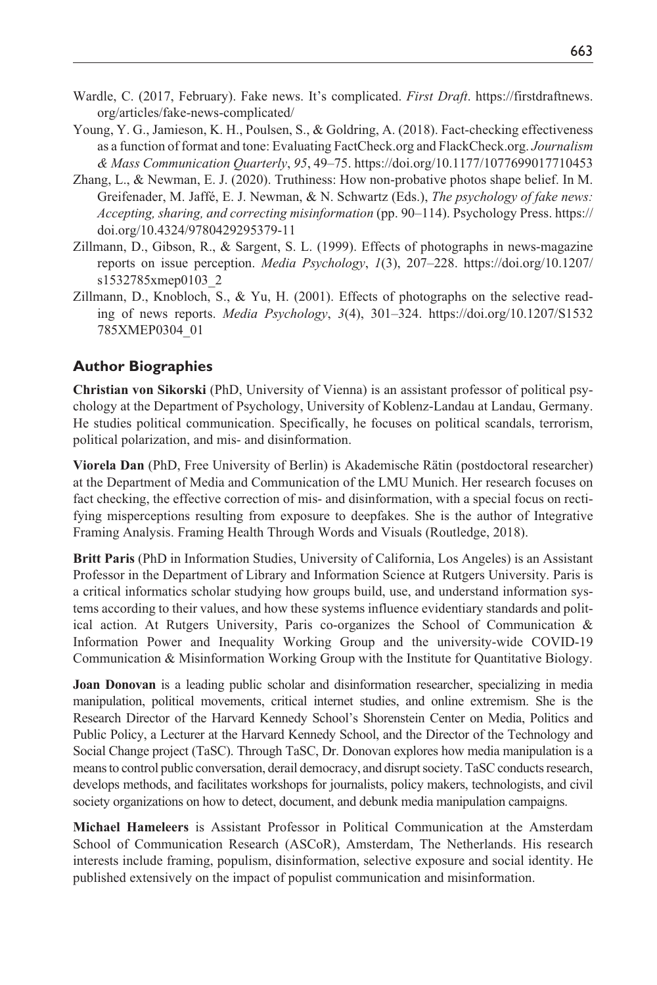- Wardle, C. (2017, February). Fake news. It's complicated. *First Draft*. [https://firstdraftnews.](https://firstdraftnews.org/articles/fake-news-complicated/) [org/articles/fake-news-complicated/](https://firstdraftnews.org/articles/fake-news-complicated/)
- Young, Y. G., Jamieson, K. H., Poulsen, S., & Goldring, A. (2018). Fact-checking effectiveness as a function of format and tone: Evaluating FactCheck.org and FlackCheck.org. *Journalism & Mass Communication Quarterly*, *95*, 49–75.<https://doi.org/10.1177/1077699017710453>
- Zhang, L., & Newman, E. J. (2020). Truthiness: How non-probative photos shape belief. In M. Greifenader, M. Jaffé, E. J. Newman, & N. Schwartz (Eds.), *The psychology of fake news: Accepting, sharing, and correcting misinformation* (pp. 90–114). Psychology Press. [https://](https://doi.org/10.4324/9780429295379-11) [doi.org/10.4324/9780429295379-11](https://doi.org/10.4324/9780429295379-11)
- Zillmann, D., Gibson, R., & Sargent, S. L. (1999). Effects of photographs in news-magazine reports on issue perception. *Media Psychology*, *1*(3), 207–228. [https://doi.org/10.1207/](https://doi.org/10.1207/s1532785xmep0103_2) [s1532785xmep0103\\_2](https://doi.org/10.1207/s1532785xmep0103_2)
- Zillmann, D., Knobloch, S., & Yu, H. (2001). Effects of photographs on the selective reading of news reports. *Media Psychology*, *3*(4), 301–324. <https://doi.org/10.1207/S1532> 785XMEP0304\_01

#### **Author Biographies**

**Christian von Sikorski** (PhD, University of Vienna) is an assistant professor of political psychology at the Department of Psychology, University of Koblenz-Landau at Landau, Germany. He studies political communication. Specifically, he focuses on political scandals, terrorism, political polarization, and mis- and disinformation.

**Viorela Dan** (PhD, Free University of Berlin) is Akademische Rätin (postdoctoral researcher) at the Department of Media and Communication of the LMU Munich. Her research focuses on fact checking, the effective correction of mis- and disinformation, with a special focus on rectifying misperceptions resulting from exposure to deepfakes. She is the author of Integrative Framing Analysis. Framing Health Through Words and Visuals (Routledge, 2018).

**Britt Paris** (PhD in Information Studies, University of California, Los Angeles) is an Assistant Professor in the Department of Library and Information Science at Rutgers University. Paris is a critical informatics scholar studying how groups build, use, and understand information systems according to their values, and how these systems influence evidentiary standards and political action. At Rutgers University, Paris co-organizes the School of Communication & Information Power and Inequality Working Group and the university-wide COVID-19 Communication & Misinformation Working Group with the Institute for Quantitative Biology.

**Joan Donovan** is a leading public scholar and disinformation researcher, specializing in media manipulation, political movements, critical internet studies, and online extremism. She is the Research Director of the Harvard Kennedy School's Shorenstein Center on Media, Politics and Public Policy, a Lecturer at the Harvard Kennedy School, and the Director of the Technology and Social Change project (TaSC). Through TaSC, Dr. Donovan explores how media manipulation is a means to control public conversation, derail democracy, and disrupt society. TaSC conducts research, develops methods, and facilitates workshops for journalists, policy makers, technologists, and civil society organizations on how to detect, document, and debunk media manipulation campaigns.

**Michael Hameleers** is Assistant Professor in Political Communication at the Amsterdam School of Communication Research (ASCoR), Amsterdam, The Netherlands. His research interests include framing, populism, disinformation, selective exposure and social identity. He published extensively on the impact of populist communication and misinformation.